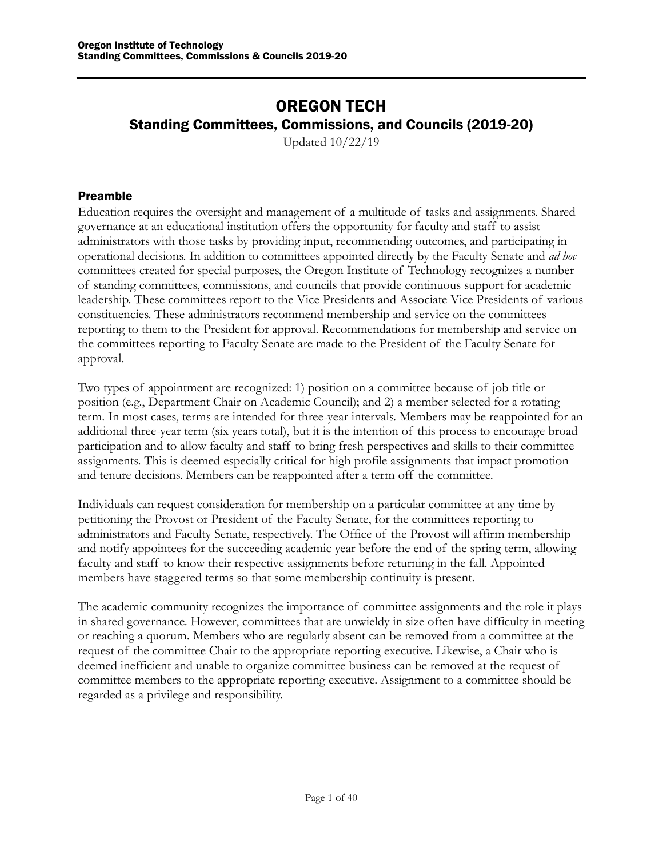# OREGON TECH Standing Committees, Commissions, and Councils (2019-20)

Updated 10/22/19

## <span id="page-0-0"></span>Preamble

Education requires the oversight and management of a multitude of tasks and assignments. Shared governance at an educational institution offers the opportunity for faculty and staff to assist administrators with those tasks by providing input, recommending outcomes, and participating in operational decisions. In addition to committees appointed directly by the Faculty Senate and *ad hoc* committees created for special purposes, the Oregon Institute of Technology recognizes a number of standing committees, commissions, and councils that provide continuous support for academic leadership. These committees report to the Vice Presidents and Associate Vice Presidents of various constituencies. These administrators recommend membership and service on the committees reporting to them to the President for approval. Recommendations for membership and service on the committees reporting to Faculty Senate are made to the President of the Faculty Senate for approval.

Two types of appointment are recognized: 1) position on a committee because of job title or position (e.g., Department Chair on Academic Council); and 2) a member selected for a rotating term. In most cases, terms are intended for three-year intervals. Members may be reappointed for an additional three-year term (six years total), but it is the intention of this process to encourage broad participation and to allow faculty and staff to bring fresh perspectives and skills to their committee assignments. This is deemed especially critical for high profile assignments that impact promotion and tenure decisions. Members can be reappointed after a term off the committee.

Individuals can request consideration for membership on a particular committee at any time by petitioning the Provost or President of the Faculty Senate, for the committees reporting to administrators and Faculty Senate, respectively. The Office of the Provost will affirm membership and notify appointees for the succeeding academic year before the end of the spring term, allowing faculty and staff to know their respective assignments before returning in the fall. Appointed members have staggered terms so that some membership continuity is present.

The academic community recognizes the importance of committee assignments and the role it plays in shared governance. However, committees that are unwieldy in size often have difficulty in meeting or reaching a quorum. Members who are regularly absent can be removed from a committee at the request of the committee Chair to the appropriate reporting executive. Likewise, a Chair who is deemed inefficient and unable to organize committee business can be removed at the request of committee members to the appropriate reporting executive. Assignment to a committee should be regarded as a privilege and responsibility.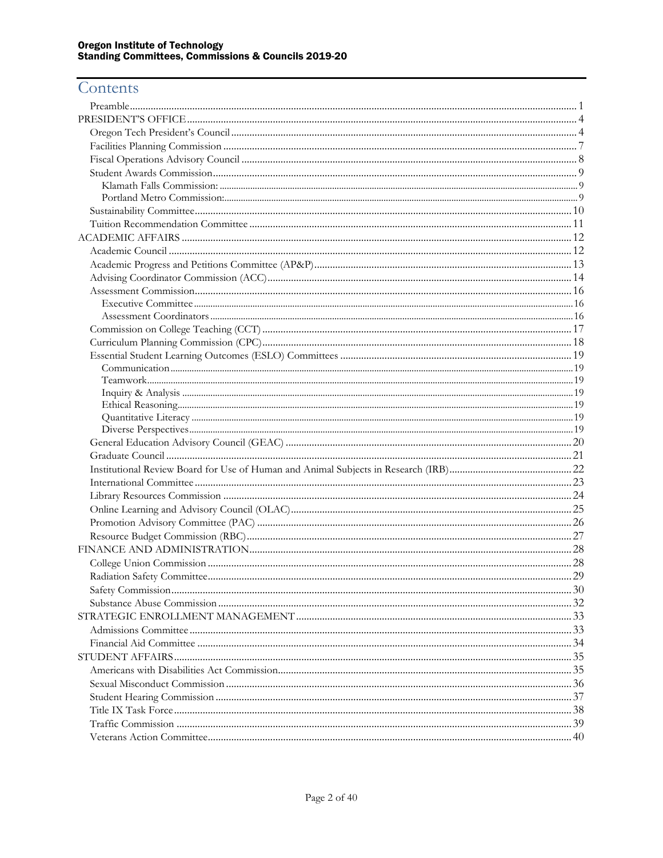# Contents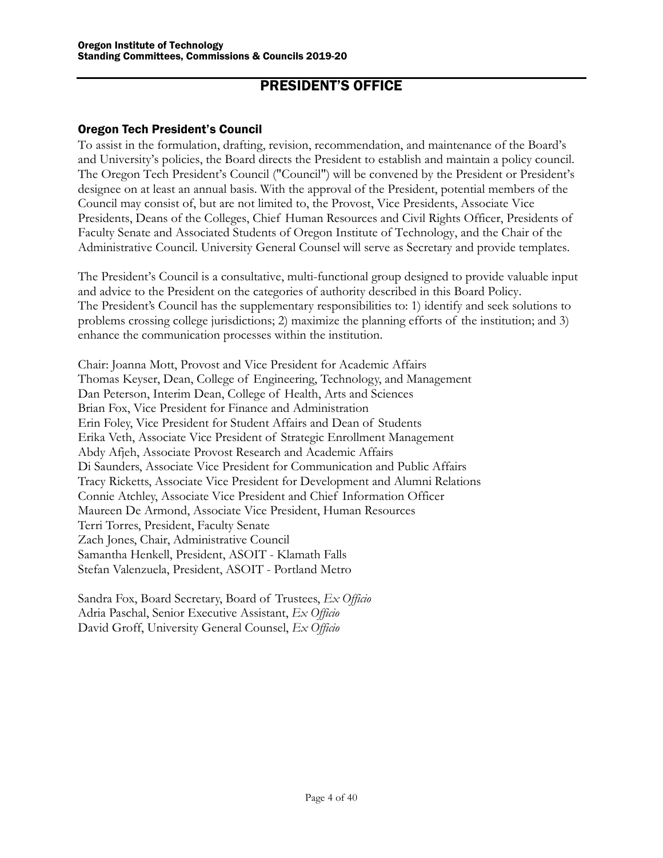## PRESIDENT'S OFFICE

#### <span id="page-3-0"></span>Oregon Tech President's Council

To assist in the formulation, drafting, revision, recommendation, and maintenance of the Board's and University's policies, the Board directs the President to establish and maintain a policy council. The Oregon Tech President's Council ("Council") will be convened by the President or President's designee on at least an annual basis. With the approval of the President, potential members of the Council may consist of, but are not limited to, the Provost, Vice Presidents, Associate Vice Presidents, Deans of the Colleges, Chief Human Resources and Civil Rights Officer, Presidents of Faculty Senate and Associated Students of Oregon Institute of Technology, and the Chair of the Administrative Council. University General Counsel will serve as Secretary and provide templates.

The President's Council is a consultative, multi-functional group designed to provide valuable input and advice to the President on the categories of authority described in this Board Policy. The President's Council has the supplementary responsibilities to: 1) identify and seek solutions to problems crossing college jurisdictions; 2) maximize the planning efforts of the institution; and 3) enhance the communication processes within the institution.

Chair: Joanna Mott, Provost and Vice President for Academic Affairs Thomas Keyser, Dean, College of Engineering, Technology, and Management Dan Peterson, Interim Dean, College of Health, Arts and Sciences Brian Fox, Vice President for Finance and Administration Erin Foley, Vice President for Student Affairs and Dean of Students Erika Veth, Associate Vice President of Strategic Enrollment Management Abdy Afjeh, Associate Provost Research and Academic Affairs Di Saunders, Associate Vice President for Communication and Public Affairs Tracy Ricketts, Associate Vice President for Development and Alumni Relations Connie Atchley, Associate Vice President and Chief Information Officer Maureen De Armond, Associate Vice President, Human Resources Terri Torres, President, Faculty Senate Zach Jones, Chair, Administrative Council Samantha Henkell, President, ASOIT - Klamath Falls Stefan Valenzuela, President, ASOIT - Portland Metro

Sandra Fox, Board Secretary, Board of Trustees, *Ex Officio* Adria Paschal, Senior Executive Assistant, *Ex Officio* David Groff, University General Counsel, *Ex Officio*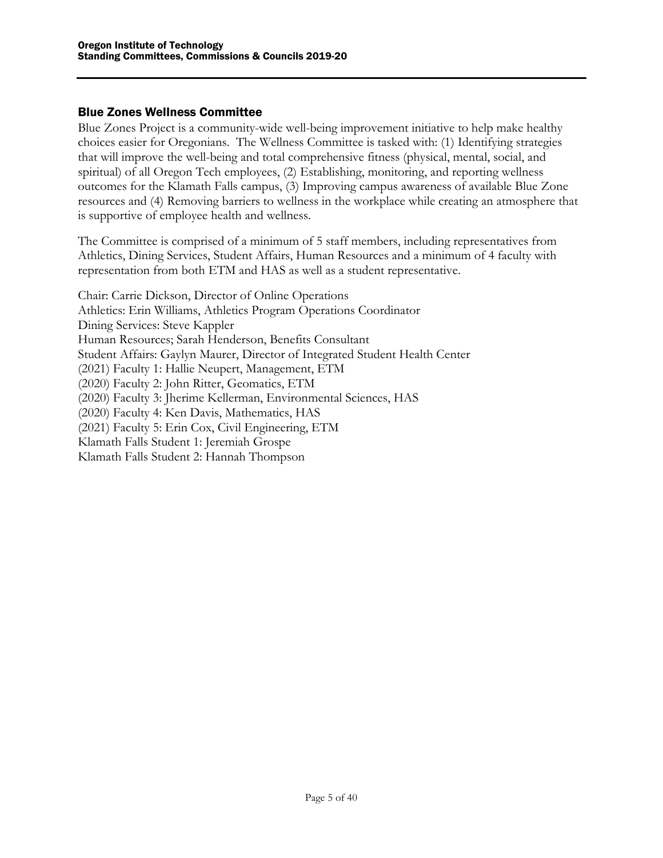#### Blue Zones Wellness Committee

Blue Zones Project is a community-wide well-being improvement initiative to help make healthy choices easier for Oregonians. The Wellness Committee is tasked with: (1) Identifying strategies that will improve the well-being and total comprehensive fitness (physical, mental, social, and spiritual) of all Oregon Tech employees, (2) Establishing, monitoring, and reporting wellness outcomes for the Klamath Falls campus, (3) Improving campus awareness of available Blue Zone resources and (4) Removing barriers to wellness in the workplace while creating an atmosphere that is supportive of employee health and wellness.

The Committee is comprised of a minimum of 5 staff members, including representatives from Athletics, Dining Services, Student Affairs, Human Resources and a minimum of 4 faculty with representation from both ETM and HAS as well as a student representative.

Chair: Carrie Dickson, Director of Online Operations Athletics: Erin Williams, Athletics Program Operations Coordinator Dining Services: Steve Kappler Human Resources; Sarah Henderson, Benefits Consultant Student Affairs: Gaylyn Maurer, Director of Integrated Student Health Center (2021) Faculty 1: Hallie Neupert, Management, ETM (2020) Faculty 2: John Ritter, Geomatics, ETM (2020) Faculty 3: Jherime Kellerman, Environmental Sciences, HAS (2020) Faculty 4: Ken Davis, Mathematics, HAS (2021) Faculty 5: Erin Cox, Civil Engineering, ETM Klamath Falls Student 1: Jeremiah Grospe Klamath Falls Student 2: Hannah Thompson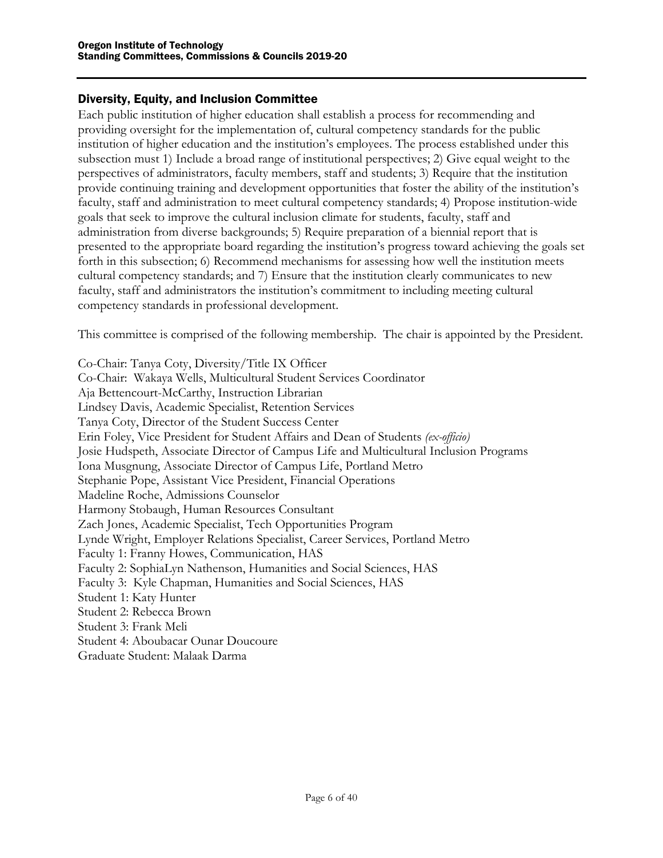#### Diversity, Equity, and Inclusion Committee

Each public institution of higher education shall establish a process for recommending and providing oversight for the implementation of, cultural competency standards for the public institution of higher education and the institution's employees. The process established under this subsection must 1) Include a broad range of institutional perspectives; 2) Give equal weight to the perspectives of administrators, faculty members, staff and students; 3) Require that the institution provide continuing training and development opportunities that foster the ability of the institution's faculty, staff and administration to meet cultural competency standards; 4) Propose institution-wide goals that seek to improve the cultural inclusion climate for students, faculty, staff and administration from diverse backgrounds; 5) Require preparation of a biennial report that is presented to the appropriate board regarding the institution's progress toward achieving the goals set forth in this subsection; 6) Recommend mechanisms for assessing how well the institution meets cultural competency standards; and 7) Ensure that the institution clearly communicates to new faculty, staff and administrators the institution's commitment to including meeting cultural competency standards in professional development.

This committee is comprised of the following membership. The chair is appointed by the President.

Co-Chair: Tanya Coty, Diversity/Title IX Officer Co-Chair: Wakaya Wells, Multicultural Student Services Coordinator Aja Bettencourt-McCarthy, Instruction Librarian Lindsey Davis, Academic Specialist, Retention Services Tanya Coty, Director of the Student Success Center Erin Foley, Vice President for Student Affairs and Dean of Students *(ex-officio)* Josie Hudspeth, Associate Director of Campus Life and Multicultural Inclusion Programs Iona Musgnung, Associate Director of Campus Life, Portland Metro Stephanie Pope, Assistant Vice President, Financial Operations Madeline Roche, Admissions Counselor Harmony Stobaugh, Human Resources Consultant Zach Jones, Academic Specialist, Tech Opportunities Program Lynde Wright, Employer Relations Specialist, Career Services, Portland Metro Faculty 1: Franny Howes, Communication, HAS Faculty 2: SophiaLyn Nathenson, Humanities and Social Sciences, HAS Faculty 3: Kyle Chapman, Humanities and Social Sciences, HAS Student 1: Katy Hunter Student 2: Rebecca Brown Student 3: Frank Meli Student 4: Aboubacar Ounar Doucoure Graduate Student: Malaak Darma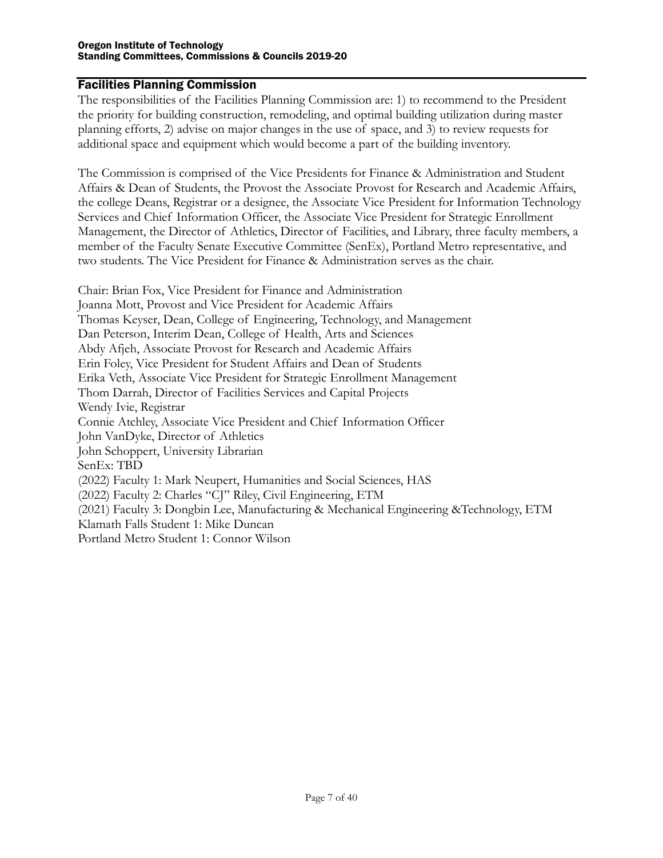#### <span id="page-6-0"></span>Facilities Planning Commission

The responsibilities of the Facilities Planning Commission are: 1) to recommend to the President the priority for building construction, remodeling, and optimal building utilization during master planning efforts, 2) advise on major changes in the use of space, and 3) to review requests for additional space and equipment which would become a part of the building inventory.

The Commission is comprised of the Vice Presidents for Finance & Administration and Student Affairs & Dean of Students, the Provost the Associate Provost for Research and Academic Affairs, the college Deans, Registrar or a designee, the Associate Vice President for Information Technology Services and Chief Information Officer, the Associate Vice President for Strategic Enrollment Management, the Director of Athletics, Director of Facilities, and Library, three faculty members, a member of the Faculty Senate Executive Committee (SenEx), Portland Metro representative, and two students. The Vice President for Finance & Administration serves as the chair.

Chair: Brian Fox, Vice President for Finance and Administration Joanna Mott, Provost and Vice President for Academic Affairs Thomas Keyser, Dean, College of Engineering, Technology, and Management Dan Peterson, Interim Dean, College of Health, Arts and Sciences Abdy Afjeh, Associate Provost for Research and Academic Affairs Erin Foley, Vice President for Student Affairs and Dean of Students Erika Veth, Associate Vice President for Strategic Enrollment Management Thom Darrah, Director of Facilities Services and Capital Projects Wendy Ivie, Registrar Connie Atchley, Associate Vice President and Chief Information Officer John VanDyke, Director of Athletics John Schoppert, University Librarian SenEx: TBD (2022) Faculty 1: Mark Neupert, Humanities and Social Sciences, HAS (2022) Faculty 2: Charles "CJ" Riley, Civil Engineering, ETM (2021) Faculty 3: Dongbin Lee, Manufacturing & Mechanical Engineering &Technology, ETM Klamath Falls Student 1: Mike Duncan Portland Metro Student 1: Connor Wilson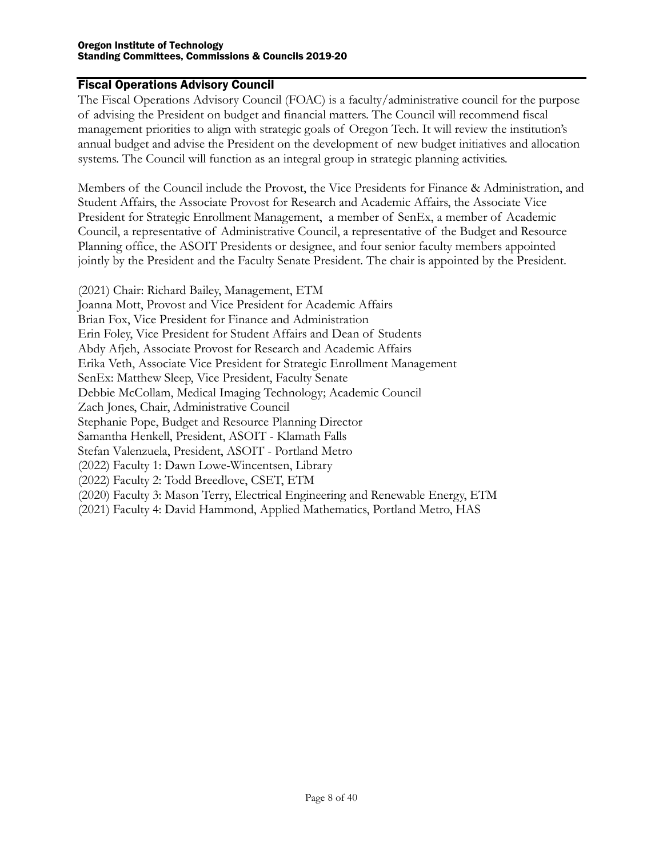#### <span id="page-7-0"></span>Fiscal Operations Advisory Council

The Fiscal Operations Advisory Council (FOAC) is a faculty/administrative council for the purpose of advising the President on budget and financial matters. The Council will recommend fiscal management priorities to align with strategic goals of Oregon Tech. It will review the institution's annual budget and advise the President on the development of new budget initiatives and allocation systems. The Council will function as an integral group in strategic planning activities.

Members of the Council include the Provost, the Vice Presidents for Finance & Administration, and Student Affairs, the Associate Provost for Research and Academic Affairs, the Associate Vice President for Strategic Enrollment Management, a member of SenEx, a member of Academic Council, a representative of Administrative Council, a representative of the Budget and Resource Planning office, the ASOIT Presidents or designee, and four senior faculty members appointed jointly by the President and the Faculty Senate President. The chair is appointed by the President.

(2021) Chair: Richard Bailey, Management, ETM Joanna Mott, Provost and Vice President for Academic Affairs Brian Fox, Vice President for Finance and Administration Erin Foley, Vice President for Student Affairs and Dean of Students Abdy Afjeh, Associate Provost for Research and Academic Affairs Erika Veth, Associate Vice President for Strategic Enrollment Management SenEx: Matthew Sleep, Vice President, Faculty Senate Debbie McCollam, Medical Imaging Technology; Academic Council Zach Jones, Chair, Administrative Council Stephanie Pope, Budget and Resource Planning Director Samantha Henkell, President, ASOIT - Klamath Falls Stefan Valenzuela, President, ASOIT - Portland Metro (2022) Faculty 1: Dawn Lowe-Wincentsen, Library (2022) Faculty 2: Todd Breedlove, CSET, ETM (2020) Faculty 3: Mason Terry, Electrical Engineering and Renewable Energy, ETM (2021) Faculty 4: David Hammond, Applied Mathematics, Portland Metro, HAS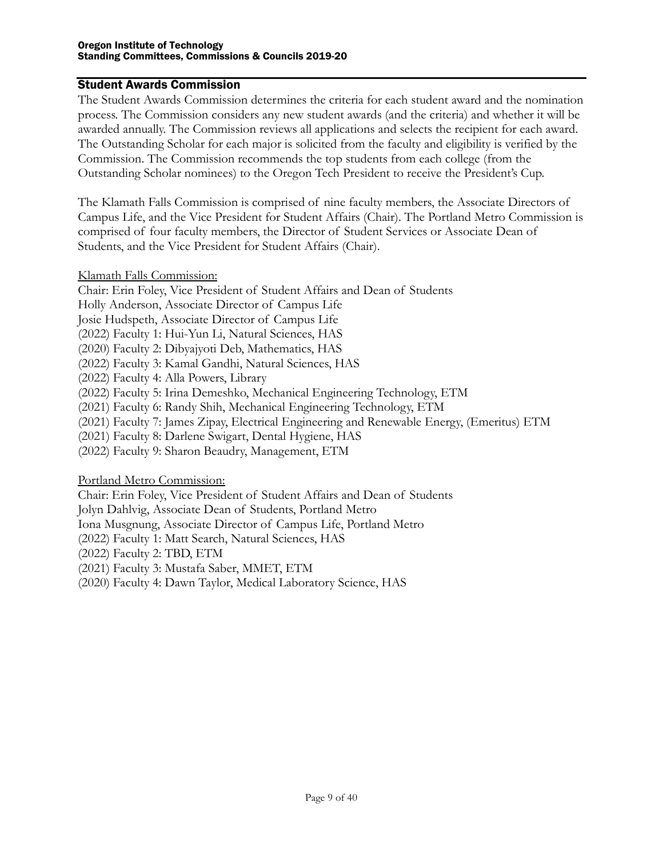#### <span id="page-8-0"></span>Student Awards Commission

The Student Awards Commission determines the criteria for each student award and the nomination process. The Commission considers any new student awards (and the criteria) and whether it will be awarded annually. The Commission reviews all applications and selects the recipient for each award. The Outstanding Scholar for each major is solicited from the faculty and eligibility is verified by the Commission. The Commission recommends the top students from each college (from the Outstanding Scholar nominees) to the Oregon Tech President to receive the President's Cup.

The Klamath Falls Commission is comprised of nine faculty members, the Associate Directors of Campus Life, and the Vice President for Student Affairs (Chair). The Portland Metro Commission is comprised of four faculty members, the Director of Student Services or Associate Dean of Students, and the Vice President for Student Affairs (Chair).

<span id="page-8-1"></span>Klamath Falls Commission:

Chair: Erin Foley, Vice President of Student Affairs and Dean of Students

Holly Anderson, Associate Director of Campus Life

Josie Hudspeth, Associate Director of Campus Life

(2022) Faculty 1: Hui-Yun Li, Natural Sciences, HAS

(2020) Faculty 2: Dibyajyoti Deb, Mathematics, HAS

(2022) Faculty 3: Kamal Gandhi, Natural Sciences, HAS

(2022) Faculty 4: Alla Powers, Library

(2022) Faculty 5: Irina Demeshko, Mechanical Engineering Technology, ETM

(2021) Faculty 6: Randy Shih, Mechanical Engineering Technology, ETM

(2021) Faculty 7: James Zipay, Electrical Engineering and Renewable Energy, (Emeritus) ETM

(2021) Faculty 8: Darlene Swigart, Dental Hygiene, HAS

(2022) Faculty 9: Sharon Beaudry, Management, ETM

<span id="page-8-2"></span>Portland Metro Commission:

Chair: Erin Foley, Vice President of Student Affairs and Dean of Students

Jolyn Dahlvig, Associate Dean of Students, Portland Metro

Iona Musgnung, Associate Director of Campus Life, Portland Metro

(2022) Faculty 1: Matt Search, Natural Sciences, HAS

(2022) Faculty 2: TBD, ETM

(2021) Faculty 3: Mustafa Saber, MMET, ETM

(2020) Faculty 4: Dawn Taylor, Medical Laboratory Science, HAS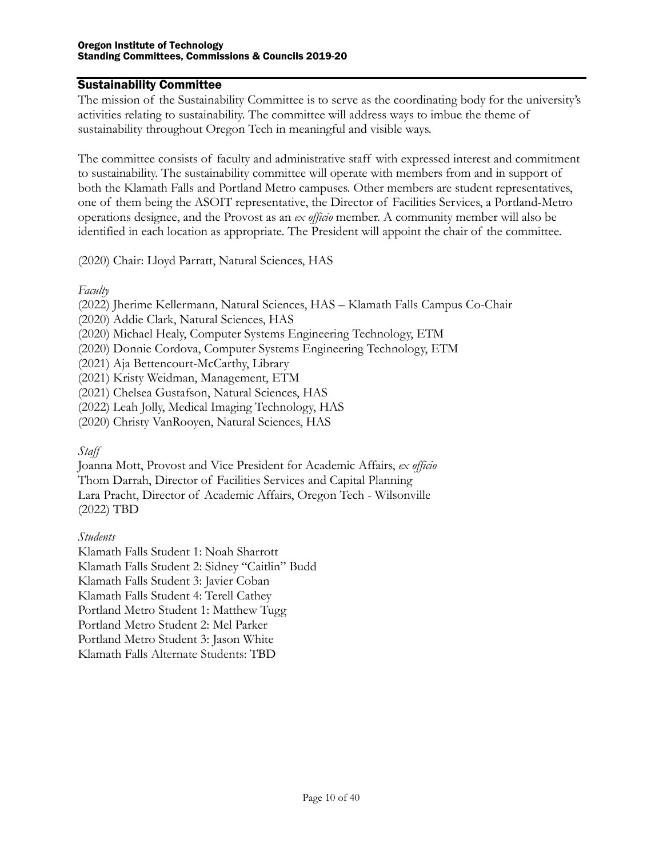#### <span id="page-9-0"></span>Sustainability Committee

The mission of the Sustainability Committee is to serve as the coordinating body for the university's activities relating to sustainability. The committee will address ways to imbue the theme of sustainability throughout Oregon Tech in meaningful and visible ways.

The committee consists of faculty and administrative staff with expressed interest and commitment to sustainability. The sustainability committee will operate with members from and in support of both the Klamath Falls and Portland Metro campuses. Other members are student representatives, one of them being the ASOIT representative, the Director of Facilities Services, a Portland-Metro operations designee, and the Provost as an *ex officio* member. A community member will also be identified in each location as appropriate. The President will appoint the chair of the committee.

(2020) Chair: Lloyd Parratt, Natural Sciences, HAS

#### *Faculty*

- (2022) Jherime Kellermann, Natural Sciences, HAS Klamath Falls Campus Co-Chair
- (2020) Addie Clark, Natural Sciences, HAS
- (2020) Michael Healy, Computer Systems Engineering Technology, ETM
- (2020) Donnie Cordova, Computer Systems Engineering Technology, ETM
- (2021) Aja Bettencourt-McCarthy, Library
- (2021) Kristy Weidman, Management, ETM
- (2021) Chelsea Gustafson, Natural Sciences, HAS
- (2022) Leah Jolly, Medical Imaging Technology, HAS
- (2020) Christy VanRooyen, Natural Sciences, HAS

## *Staff*

Joanna Mott, Provost and Vice President for Academic Affairs, *ex officio* Thom Darrah, Director of Facilities Services and Capital Planning Lara Pracht, Director of Academic Affairs, Oregon Tech - Wilsonville (2022) TBD

## *Students*

Klamath Falls Student 1: Noah Sharrott Klamath Falls Student 2: Sidney "Caitlin" Budd Klamath Falls Student 3: Javier Coban Klamath Falls Student 4: Terell Cathey Portland Metro Student 1: Matthew Tugg Portland Metro Student 2: Mel Parker Portland Metro Student 3: Jason White Klamath Falls Alternate Students: TBD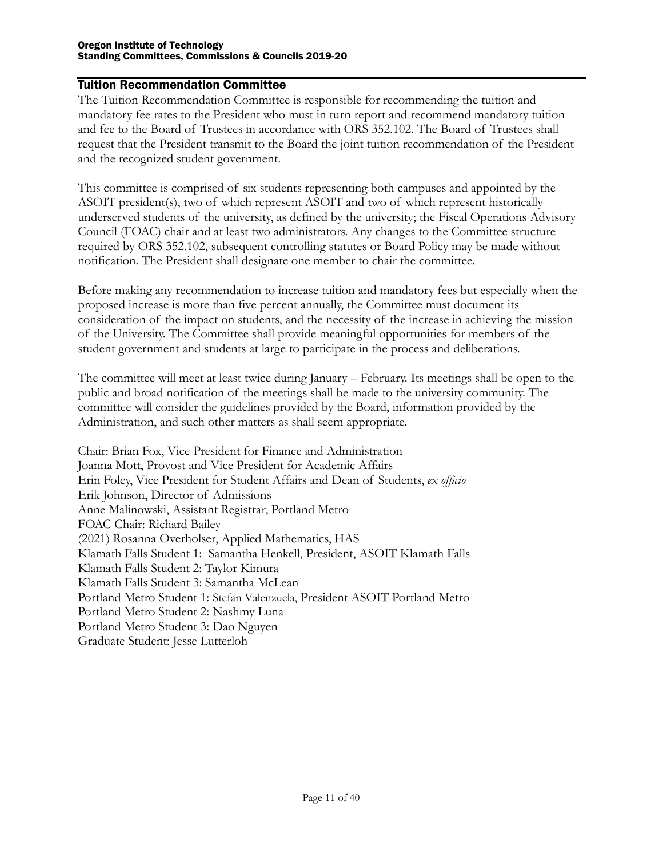#### <span id="page-10-0"></span>Tuition Recommendation Committee

The Tuition Recommendation Committee is responsible for recommending the tuition and mandatory fee rates to the President who must in turn report and recommend mandatory tuition and fee to the Board of Trustees in accordance with ORS 352.102. The Board of Trustees shall request that the President transmit to the Board the joint tuition recommendation of the President and the recognized student government.

This committee is comprised of six students representing both campuses and appointed by the ASOIT president(s), two of which represent ASOIT and two of which represent historically underserved students of the university, as defined by the university; the Fiscal Operations Advisory Council (FOAC) chair and at least two administrators. Any changes to the Committee structure required by ORS 352.102, subsequent controlling statutes or Board Policy may be made without notification. The President shall designate one member to chair the committee.

Before making any recommendation to increase tuition and mandatory fees but especially when the proposed increase is more than five percent annually, the Committee must document its consideration of the impact on students, and the necessity of the increase in achieving the mission of the University. The Committee shall provide meaningful opportunities for members of the student government and students at large to participate in the process and deliberations.

The committee will meet at least twice during January – February. Its meetings shall be open to the public and broad notification of the meetings shall be made to the university community. The committee will consider the guidelines provided by the Board, information provided by the Administration, and such other matters as shall seem appropriate.

Chair: Brian Fox, Vice President for Finance and Administration Joanna Mott, Provost and Vice President for Academic Affairs Erin Foley, Vice President for Student Affairs and Dean of Students, *ex officio* Erik Johnson, Director of Admissions Anne Malinowski, Assistant Registrar, Portland Metro FOAC Chair: Richard Bailey (2021) Rosanna Overholser, Applied Mathematics, HAS Klamath Falls Student 1: Samantha Henkell, President, ASOIT Klamath Falls Klamath Falls Student 2: Taylor Kimura Klamath Falls Student 3: Samantha McLean Portland Metro Student 1: Stefan Valenzuela, President ASOIT Portland Metro Portland Metro Student 2: Nashmy Luna Portland Metro Student 3: Dao Nguyen Graduate Student: Jesse Lutterloh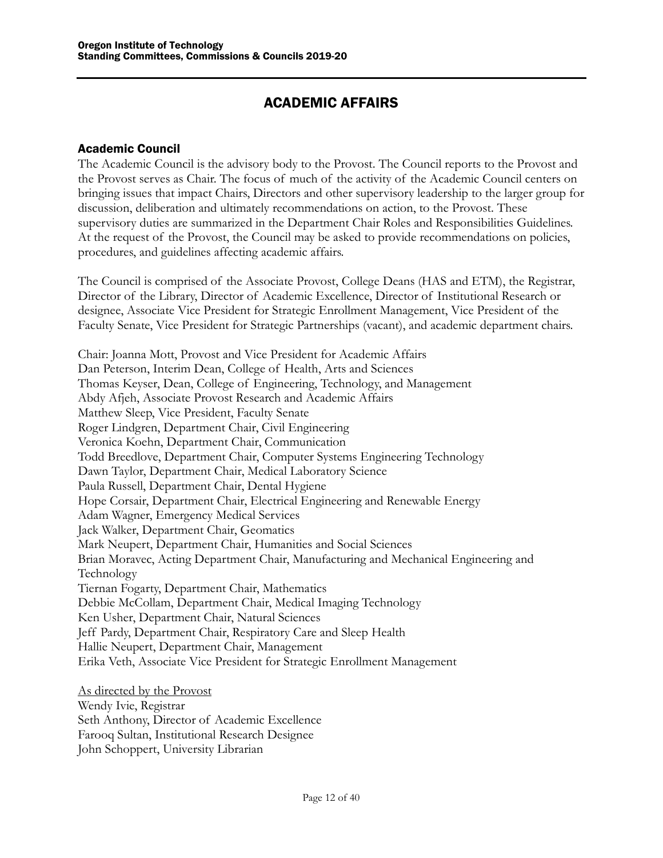## ACADEMIC AFFAIRS

## <span id="page-11-1"></span><span id="page-11-0"></span>Academic Council

The Academic Council is the advisory body to the Provost. The Council reports to the Provost and the Provost serves as Chair. The focus of much of the activity of the Academic Council centers on bringing issues that impact Chairs, Directors and other supervisory leadership to the larger group for discussion, deliberation and ultimately recommendations on action, to the Provost. These supervisory duties are summarized in the Department Chair Roles and Responsibilities Guidelines. At the request of the Provost, the Council may be asked to provide recommendations on policies, procedures, and guidelines affecting academic affairs.

The Council is comprised of the Associate Provost, College Deans (HAS and ETM), the Registrar, Director of the Library, Director of Academic Excellence, Director of Institutional Research or designee, Associate Vice President for Strategic Enrollment Management, Vice President of the Faculty Senate, Vice President for Strategic Partnerships (vacant), and academic department chairs.

Chair: Joanna Mott, Provost and Vice President for Academic Affairs Dan Peterson, Interim Dean, College of Health, Arts and Sciences Thomas Keyser, Dean, College of Engineering, Technology, and Management Abdy Afjeh, Associate Provost Research and Academic Affairs Matthew Sleep, Vice President, Faculty Senate Roger Lindgren, Department Chair, Civil Engineering Veronica Koehn, Department Chair, Communication Todd Breedlove, Department Chair, Computer Systems Engineering Technology Dawn Taylor, Department Chair, Medical Laboratory Science Paula Russell, Department Chair, Dental Hygiene Hope Corsair, Department Chair, Electrical Engineering and Renewable Energy Adam Wagner, Emergency Medical Services Jack Walker, Department Chair, Geomatics Mark Neupert, Department Chair, Humanities and Social Sciences Brian Moravec, Acting Department Chair, Manufacturing and Mechanical Engineering and Technology Tiernan Fogarty, Department Chair, Mathematics Debbie McCollam, Department Chair, Medical Imaging Technology Ken Usher, Department Chair, Natural Sciences Jeff Pardy, Department Chair, Respiratory Care and Sleep Health Hallie Neupert, Department Chair, Management Erika Veth, Associate Vice President for Strategic Enrollment Management

<span id="page-11-2"></span>As directed by the Provost Wendy Ivie, Registrar Seth Anthony, Director of Academic Excellence Farooq Sultan, Institutional Research Designee John Schoppert, University Librarian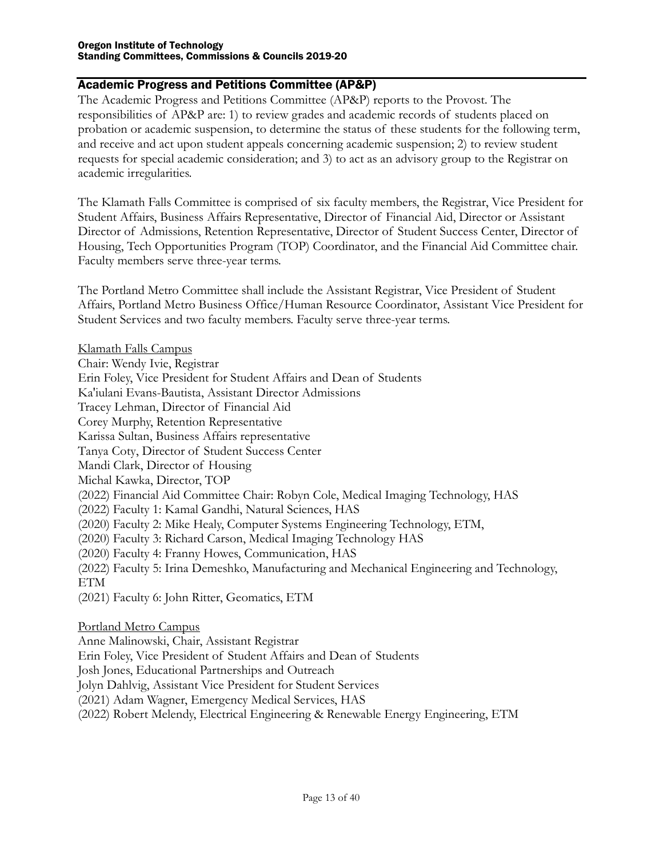## Academic Progress and Petitions Committee (AP&P)

The Academic Progress and Petitions Committee (AP&P) reports to the Provost. The responsibilities of AP&P are: 1) to review grades and academic records of students placed on probation or academic suspension, to determine the status of these students for the following term, and receive and act upon student appeals concerning academic suspension; 2) to review student requests for special academic consideration; and 3) to act as an advisory group to the Registrar on academic irregularities.

The Klamath Falls Committee is comprised of six faculty members, the Registrar, Vice President for Student Affairs, Business Affairs Representative, Director of Financial Aid, Director or Assistant Director of Admissions, Retention Representative, Director of Student Success Center, Director of Housing, Tech Opportunities Program (TOP) Coordinator, and the Financial Aid Committee chair. Faculty members serve three-year terms.

The Portland Metro Committee shall include the Assistant Registrar, Vice President of Student Affairs, Portland Metro Business Office/Human Resource Coordinator, Assistant Vice President for Student Services and two faculty members. Faculty serve three-year terms.

Klamath Falls Campus Chair: Wendy Ivie, Registrar Erin Foley, Vice President for Student Affairs and Dean of Students Ka'iulani Evans-Bautista, Assistant Director Admissions Tracey Lehman, Director of Financial Aid Corey Murphy, Retention Representative Karissa Sultan, Business Affairs representative Tanya Coty, Director of Student Success Center Mandi Clark, Director of Housing Michal Kawka, Director, TOP (2022) Financial Aid Committee Chair: Robyn Cole, Medical Imaging Technology, HAS (2022) Faculty 1: Kamal Gandhi, Natural Sciences, HAS (2020) Faculty 2: Mike Healy, Computer Systems Engineering Technology, ETM, (2020) Faculty 3: Richard Carson, Medical Imaging Technology HAS (2020) Faculty 4: Franny Howes, Communication, HAS (2022) Faculty 5: Irina Demeshko, Manufacturing and Mechanical Engineering and Technology, ETM (2021) Faculty 6: John Ritter, Geomatics, ETM Portland Metro Campus

Anne Malinowski, Chair, Assistant Registrar Erin Foley, Vice President of Student Affairs and Dean of Students Josh Jones, Educational Partnerships and Outreach Jolyn Dahlvig, Assistant Vice President for Student Services (2021) Adam Wagner, Emergency Medical Services, HAS (2022) Robert Melendy, Electrical Engineering & Renewable Energy Engineering, ETM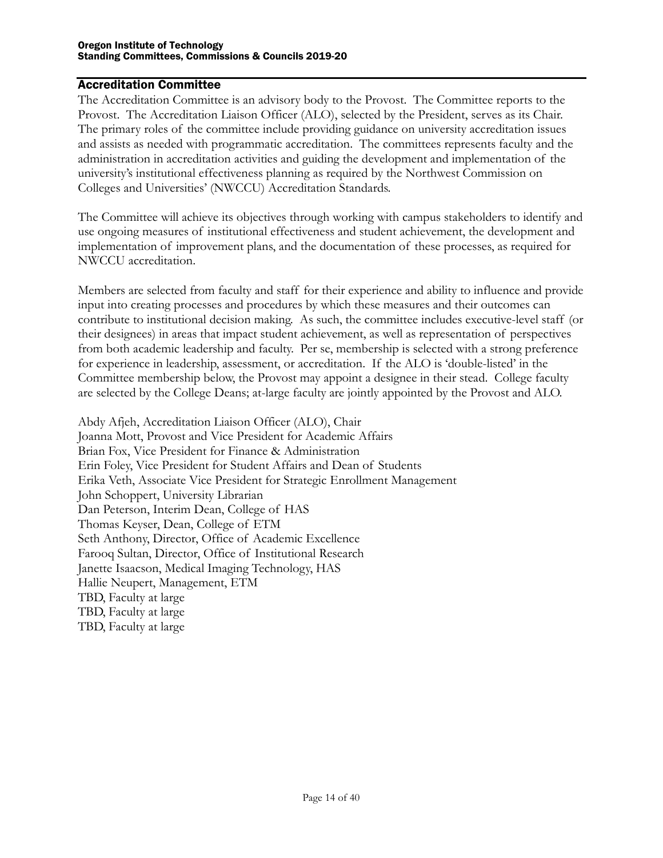#### <span id="page-13-0"></span>Accreditation Committee

The Accreditation Committee is an advisory body to the Provost. The Committee reports to the Provost. The Accreditation Liaison Officer (ALO), selected by the President, serves as its Chair. The primary roles of the committee include providing guidance on university accreditation issues and assists as needed with programmatic accreditation. The committees represents faculty and the administration in accreditation activities and guiding the development and implementation of the university's institutional effectiveness planning as required by the Northwest Commission on Colleges and Universities' (NWCCU) Accreditation Standards.

The Committee will achieve its objectives through working with campus stakeholders to identify and use ongoing measures of institutional effectiveness and student achievement, the development and implementation of improvement plans, and the documentation of these processes, as required for NWCCU accreditation.

Members are selected from faculty and staff for their experience and ability to influence and provide input into creating processes and procedures by which these measures and their outcomes can contribute to institutional decision making. As such, the committee includes executive-level staff (or their designees) in areas that impact student achievement, as well as representation of perspectives from both academic leadership and faculty. Per se, membership is selected with a strong preference for experience in leadership, assessment, or accreditation. If the ALO is 'double-listed' in the Committee membership below, the Provost may appoint a designee in their stead. College faculty are selected by the College Deans; at-large faculty are jointly appointed by the Provost and ALO.

Abdy Afjeh, Accreditation Liaison Officer (ALO), Chair Joanna Mott, Provost and Vice President for Academic Affairs Brian Fox, Vice President for Finance & Administration Erin Foley, Vice President for Student Affairs and Dean of Students Erika Veth, Associate Vice President for Strategic Enrollment Management John Schoppert, University Librarian Dan Peterson, Interim Dean, College of HAS Thomas Keyser, Dean, College of ETM Seth Anthony, Director, Office of Academic Excellence Farooq Sultan, Director, Office of Institutional Research Janette Isaacson, Medical Imaging Technology, HAS Hallie Neupert, Management, ETM TBD, Faculty at large TBD, Faculty at large TBD, Faculty at large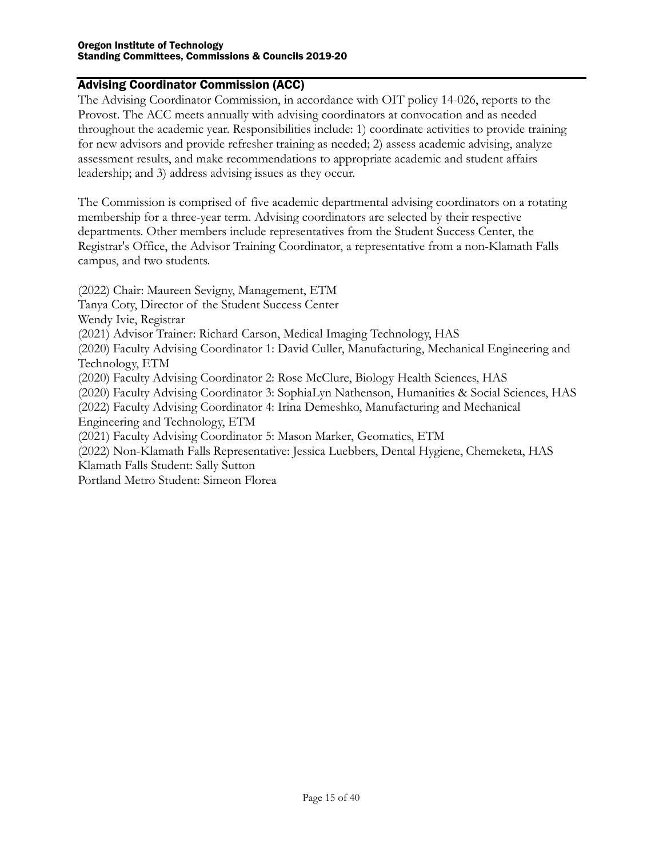#### Advising Coordinator Commission (ACC)

The Advising Coordinator Commission, in accordance with OIT policy 14-026, reports to the Provost. The ACC meets annually with advising coordinators at convocation and as needed throughout the academic year. Responsibilities include: 1) coordinate activities to provide training for new advisors and provide refresher training as needed; 2) assess academic advising, analyze assessment results, and make recommendations to appropriate academic and student affairs leadership; and 3) address advising issues as they occur.

The Commission is comprised of five academic departmental advising coordinators on a rotating membership for a three-year term. Advising coordinators are selected by their respective departments. Other members include representatives from the Student Success Center, the Registrar's Office, the Advisor Training Coordinator, a representative from a non-Klamath Falls campus, and two students.

(2022) Chair: Maureen Sevigny, Management, ETM Tanya Coty, Director of the Student Success Center Wendy Ivie, Registrar (2021) Advisor Trainer: Richard Carson, Medical Imaging Technology, HAS (2020) Faculty Advising Coordinator 1: David Culler, Manufacturing, Mechanical Engineering and Technology, ETM (2020) Faculty Advising Coordinator 2: Rose McClure, Biology Health Sciences, HAS (2020) Faculty Advising Coordinator 3: SophiaLyn Nathenson, Humanities & Social Sciences, HAS (2022) Faculty Advising Coordinator 4: Irina Demeshko, Manufacturing and Mechanical Engineering and Technology, ETM (2021) Faculty Advising Coordinator 5: Mason Marker, Geomatics, ETM (2022) Non-Klamath Falls Representative: Jessica Luebbers, Dental Hygiene, Chemeketa, HAS Klamath Falls Student: Sally Sutton Portland Metro Student: Simeon Florea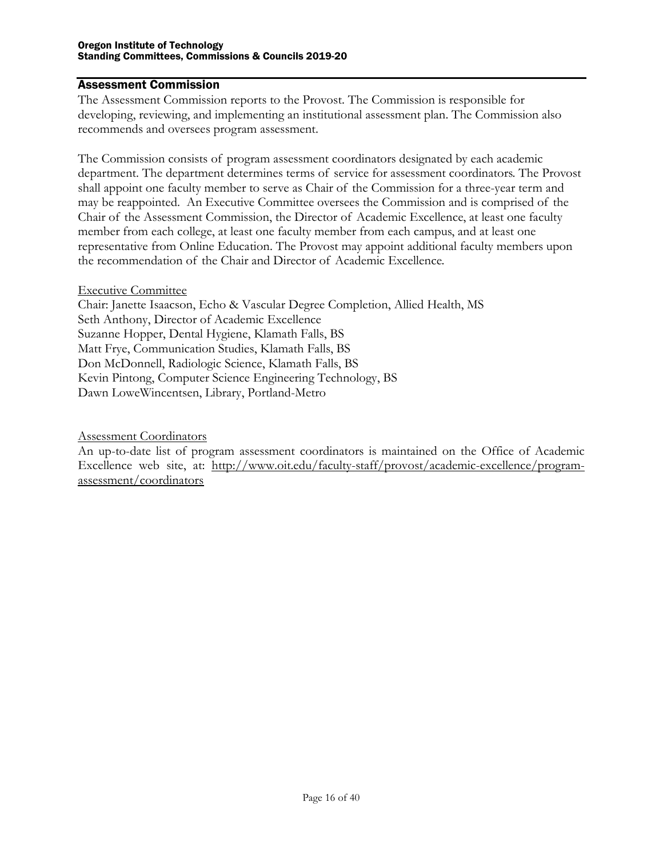#### <span id="page-15-0"></span>Assessment Commission

The Assessment Commission reports to the Provost. The Commission is responsible for developing, reviewing, and implementing an institutional assessment plan. The Commission also recommends and oversees program assessment.

The Commission consists of program assessment coordinators designated by each academic department. The department determines terms of service for assessment coordinators. The Provost shall appoint one faculty member to serve as Chair of the Commission for a three-year term and may be reappointed. An Executive Committee oversees the Commission and is comprised of the Chair of the Assessment Commission, the Director of Academic Excellence, at least one faculty member from each college, at least one faculty member from each campus, and at least one representative from Online Education. The Provost may appoint additional faculty members upon the recommendation of the Chair and Director of Academic Excellence.

#### <span id="page-15-1"></span>Executive Committee

Chair: Janette Isaacson, Echo & Vascular Degree Completion, Allied Health, MS Seth Anthony, Director of Academic Excellence Suzanne Hopper, Dental Hygiene, Klamath Falls, BS Matt Frye, Communication Studies, Klamath Falls, BS Don McDonnell, Radiologic Science, Klamath Falls, BS Kevin Pintong, Computer Science Engineering Technology, BS Dawn LoweWincentsen, Library, Portland-Metro

<span id="page-15-2"></span>Assessment Coordinators

An up-to-date list of program assessment coordinators is maintained on the Office of Academic Excellence web site, at: [http://www.oit.edu/faculty-staff/provost/academic-excellence/program](http://www.oit.edu/faculty-staff/provost/academic-excellence/program-assessment/coordinators)[assessment/coordinators](http://www.oit.edu/faculty-staff/provost/academic-excellence/program-assessment/coordinators)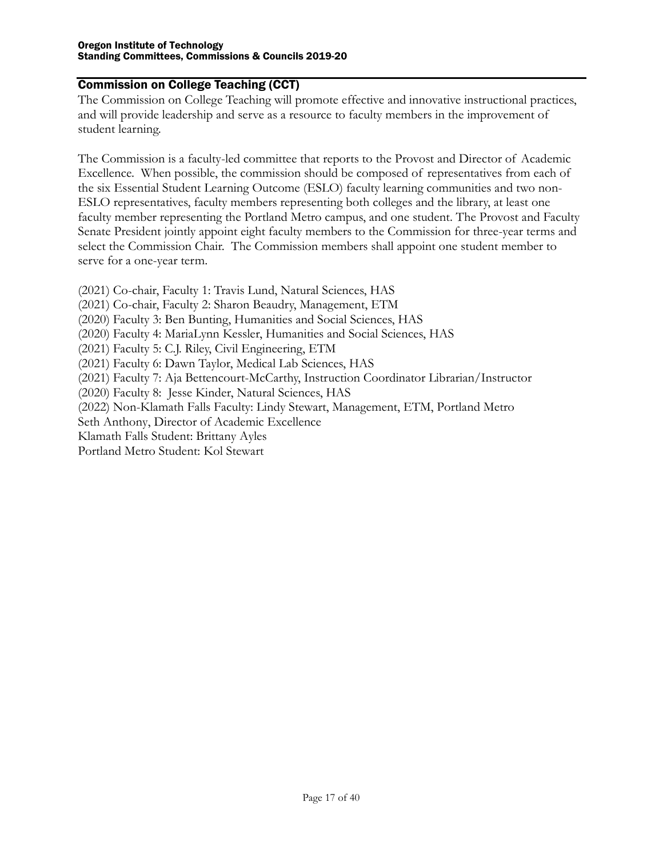#### <span id="page-16-0"></span>Commission on College Teaching (CCT)

The Commission on College Teaching will promote effective and innovative instructional practices, and will provide leadership and serve as a resource to faculty members in the improvement of student learning.

The Commission is a faculty-led committee that reports to the Provost and Director of Academic Excellence. When possible, the commission should be composed of representatives from each of the six Essential Student Learning Outcome (ESLO) faculty learning communities and two non-ESLO representatives, faculty members representing both colleges and the library, at least one faculty member representing the Portland Metro campus, and one student. The Provost and Faculty Senate President jointly appoint eight faculty members to the Commission for three-year terms and select the Commission Chair. The Commission members shall appoint one student member to serve for a one-year term.

- (2021) Co-chair, Faculty 1: Travis Lund, Natural Sciences, HAS
- (2021) Co-chair, Faculty 2: Sharon Beaudry, Management, ETM
- (2020) Faculty 3: Ben Bunting, Humanities and Social Sciences, HAS
- (2020) Faculty 4: MariaLynn Kessler, Humanities and Social Sciences, HAS
- (2021) Faculty 5: C.J. Riley, Civil Engineering, ETM
- (2021) Faculty 6: Dawn Taylor, Medical Lab Sciences, HAS
- (2021) Faculty 7: Aja Bettencourt-McCarthy, Instruction Coordinator Librarian/Instructor

(2020) Faculty 8: Jesse Kinder, Natural Sciences, HAS

(2022) Non-Klamath Falls Faculty: Lindy Stewart, Management, ETM, Portland Metro

Seth Anthony, Director of Academic Excellence

Klamath Falls Student: Brittany Ayles

Portland Metro Student: Kol Stewart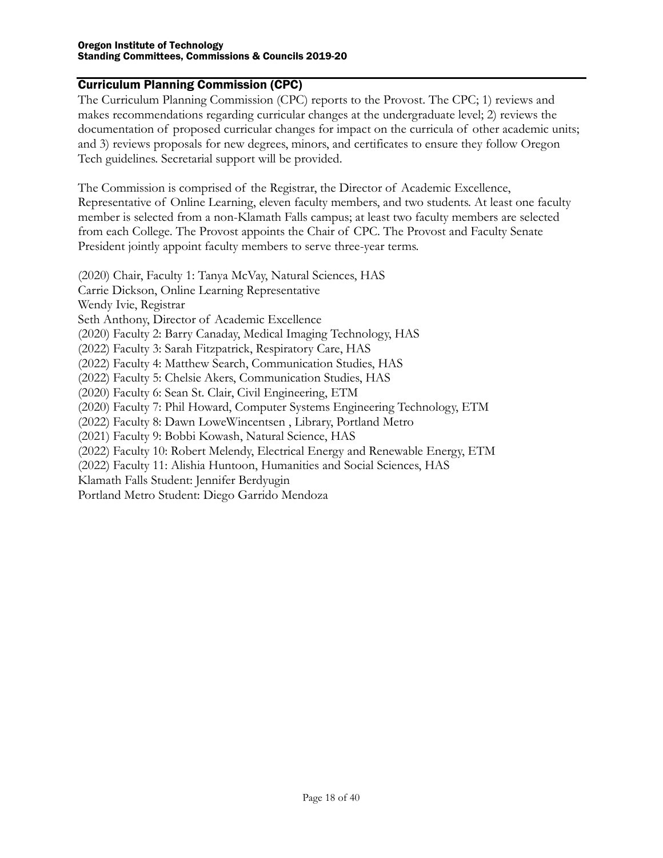#### <span id="page-17-0"></span>Curriculum Planning Commission (CPC)

The Curriculum Planning Commission (CPC) reports to the Provost. The CPC; 1) reviews and makes recommendations regarding curricular changes at the undergraduate level; 2) reviews the documentation of proposed curricular changes for impact on the curricula of other academic units; and 3) reviews proposals for new degrees, minors, and certificates to ensure they follow Oregon Tech guidelines. Secretarial support will be provided.

The Commission is comprised of the Registrar, the Director of Academic Excellence, Representative of Online Learning, eleven faculty members, and two students. At least one faculty member is selected from a non-Klamath Falls campus; at least two faculty members are selected from each College. The Provost appoints the Chair of CPC. The Provost and Faculty Senate President jointly appoint faculty members to serve three-year terms.

(2020) Chair, Faculty 1: Tanya McVay, Natural Sciences, HAS Carrie Dickson, Online Learning Representative Wendy Ivie, Registrar Seth Anthony, Director of Academic Excellence (2020) Faculty 2: Barry Canaday, Medical Imaging Technology, HAS (2022) Faculty 3: Sarah Fitzpatrick, Respiratory Care, HAS (2022) Faculty 4: Matthew Search, Communication Studies, HAS (2022) Faculty 5: Chelsie Akers, Communication Studies, HAS (2020) Faculty 6: Sean St. Clair, Civil Engineering, ETM (2020) Faculty 7: Phil Howard, Computer Systems Engineering Technology, ETM (2022) Faculty 8: Dawn LoweWincentsen , Library, Portland Metro (2021) Faculty 9: Bobbi Kowash, Natural Science, HAS (2022) Faculty 10: Robert Melendy, Electrical Energy and Renewable Energy, ETM (2022) Faculty 11: Alishia Huntoon, Humanities and Social Sciences, HAS Klamath Falls Student: Jennifer Berdyugin Portland Metro Student: Diego Garrido Mendoza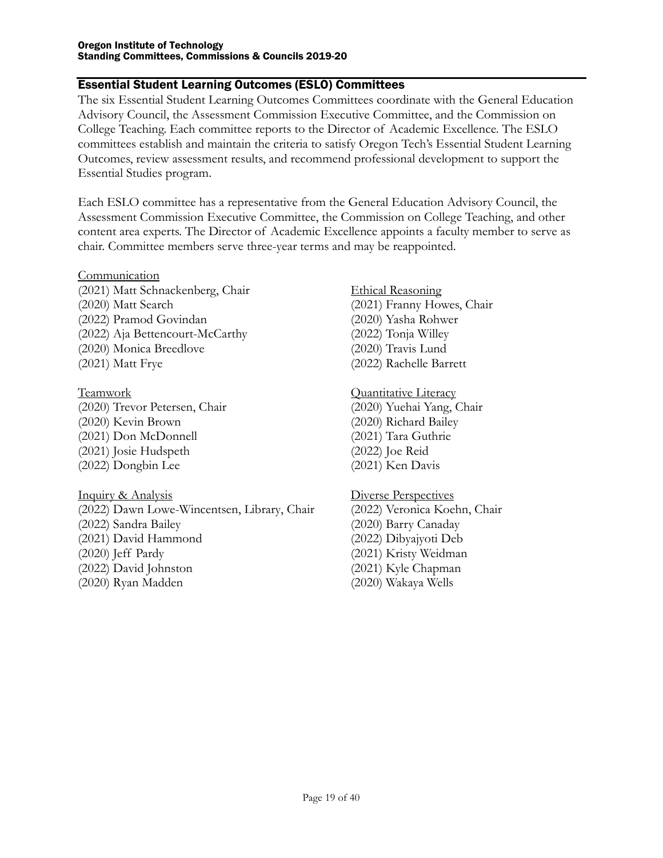### <span id="page-18-0"></span>Essential Student Learning Outcomes (ESLO) Committees

The six Essential Student Learning Outcomes Committees coordinate with the General Education Advisory Council, the Assessment Commission Executive Committee, and the Commission on College Teaching. Each committee reports to the Director of Academic Excellence. The ESLO committees establish and maintain the criteria to satisfy Oregon Tech's Essential Student Learning Outcomes, review assessment results, and recommend professional development to support the Essential Studies program.

Each ESLO committee has a representative from the General Education Advisory Council, the Assessment Commission Executive Committee, the Commission on College Teaching, and other content area experts. The Director of Academic Excellence appoints a faculty member to serve as chair. Committee members serve three-year terms and may be reappointed.

- <span id="page-18-1"></span>Communication (2021) Matt Schnackenberg, Chair (2020) Matt Search (2022) Pramod Govindan (2022) Aja Bettencourt-McCarthy (2020) Monica Breedlove (2021) Matt Frye
- <span id="page-18-2"></span>Teamwork (2020) Trevor Petersen, Chair (2020) Kevin Brown (2021) Don McDonnell (2021) Josie Hudspeth (2022) Dongbin Lee
- <span id="page-18-3"></span>Inquiry & Analysis (2022) Dawn Lowe-Wincentsen, Library, Chair (2022) Sandra Bailey (2021) David Hammond (2020) Jeff Pardy
- (2022) David Johnston (2020) Ryan Madden
- <span id="page-18-4"></span>Ethical Reasoning (2021) Franny Howes, Chair (2020) Yasha Rohwer (2022) Tonja Willey (2020) Travis Lund (2022) Rachelle Barrett
- <span id="page-18-5"></span>Quantitative Literacy (2020) Yuehai Yang, Chair (2020) Richard Bailey (2021) Tara Guthrie (2022) Joe Reid (2021) Ken Davis
- <span id="page-18-6"></span>Diverse Perspectives (2022) Veronica Koehn, Chair (2020) Barry Canaday (2022) Dibyajyoti Deb (2021) Kristy Weidman (2021) Kyle Chapman (2020) Wakaya Wells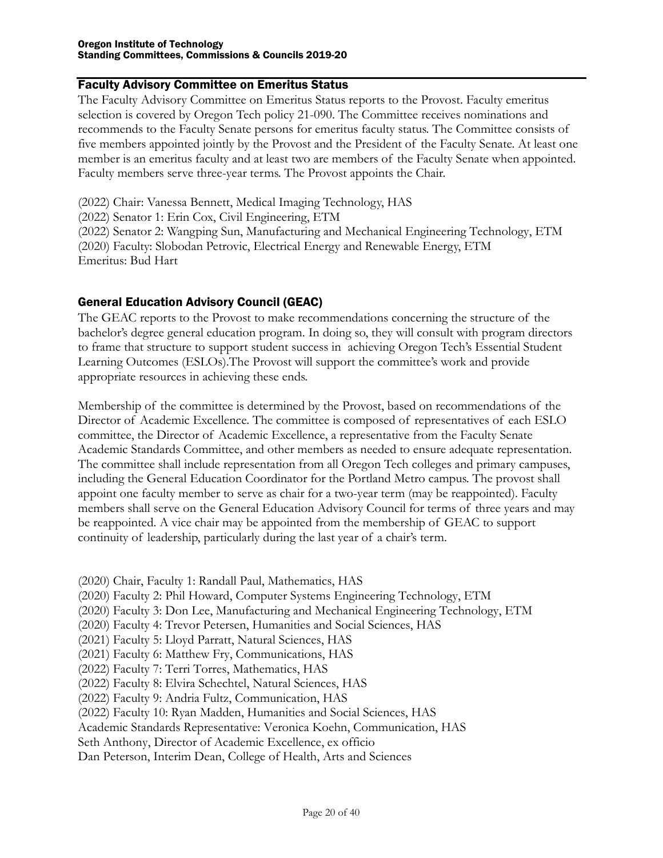#### Faculty Advisory Committee on Emeritus Status

The Faculty Advisory Committee on Emeritus Status reports to the Provost. Faculty emeritus selection is covered by Oregon Tech policy 21-090. The Committee receives nominations and recommends to the Faculty Senate persons for emeritus faculty status. The Committee consists of five members appointed jointly by the Provost and the President of the Faculty Senate. At least one member is an emeritus faculty and at least two are members of the Faculty Senate when appointed. Faculty members serve three-year terms. The Provost appoints the Chair.

(2022) Chair: Vanessa Bennett, Medical Imaging Technology, HAS (2022) Senator 1: Erin Cox, Civil Engineering, ETM (2022) Senator 2: Wangping Sun, Manufacturing and Mechanical Engineering Technology, ETM (2020) Faculty: Slobodan Petrovic, Electrical Energy and Renewable Energy, ETM Emeritus: Bud Hart

#### <span id="page-19-0"></span>General Education Advisory Council (GEAC)

The GEAC reports to the Provost to make recommendations concerning the structure of the bachelor's degree general education program. In doing so, they will consult with program directors to frame that structure to support student success in achieving Oregon Tech's Essential Student Learning Outcomes (ESLOs).The Provost will support the committee's work and provide appropriate resources in achieving these ends.

Membership of the committee is determined by the Provost, based on recommendations of the Director of Academic Excellence. The committee is composed of representatives of each ESLO committee, the Director of Academic Excellence, a representative from the Faculty Senate Academic Standards Committee, and other members as needed to ensure adequate representation. The committee shall include representation from all Oregon Tech colleges and primary campuses, including the General Education Coordinator for the Portland Metro campus. The provost shall appoint one faculty member to serve as chair for a two-year term (may be reappointed). Faculty members shall serve on the General Education Advisory Council for terms of three years and may be reappointed. A vice chair may be appointed from the membership of GEAC to support continuity of leadership, particularly during the last year of a chair's term.

- (2020) Chair, Faculty 1: Randall Paul, Mathematics, HAS
- (2020) Faculty 2: Phil Howard, Computer Systems Engineering Technology, ETM
- (2020) Faculty 3: Don Lee, Manufacturing and Mechanical Engineering Technology, ETM
- (2020) Faculty 4: Trevor Petersen, Humanities and Social Sciences, HAS
- (2021) Faculty 5: Lloyd Parratt, Natural Sciences, HAS
- (2021) Faculty 6: Matthew Fry, Communications, HAS
- (2022) Faculty 7: Terri Torres, Mathematics, HAS
- (2022) Faculty 8: Elvira Schechtel, Natural Sciences, HAS
- (2022) Faculty 9: Andria Fultz, Communication, HAS
- (2022) Faculty 10: Ryan Madden, Humanities and Social Sciences, HAS
- Academic Standards Representative: Veronica Koehn, Communication, HAS
- Seth Anthony, Director of Academic Excellence, ex officio
- Dan Peterson, Interim Dean, College of Health, Arts and Sciences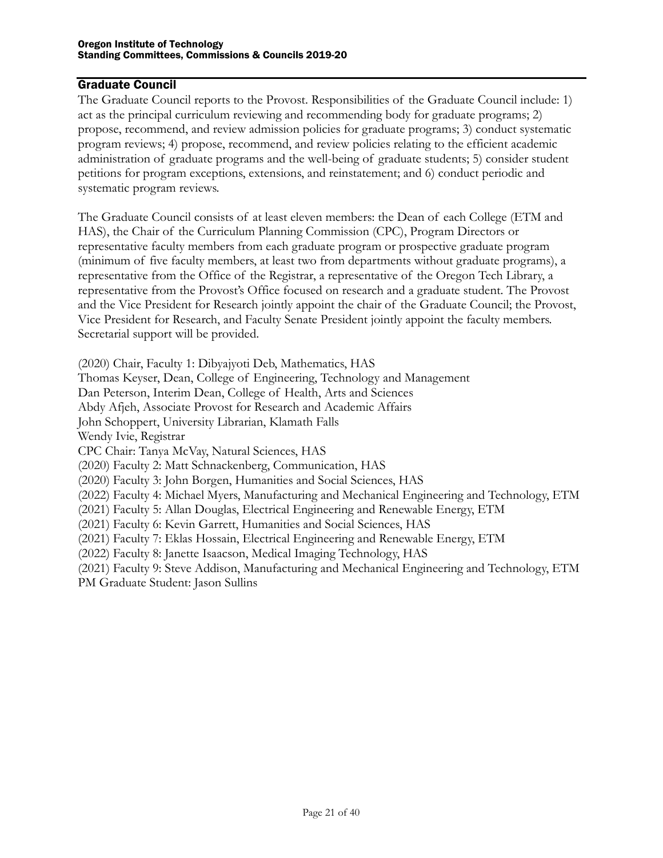#### <span id="page-20-0"></span>Graduate Council

The Graduate Council reports to the Provost. Responsibilities of the Graduate Council include: 1) act as the principal curriculum reviewing and recommending body for graduate programs; 2) propose, recommend, and review admission policies for graduate programs; 3) conduct systematic program reviews; 4) propose, recommend, and review policies relating to the efficient academic administration of graduate programs and the well-being of graduate students; 5) consider student petitions for program exceptions, extensions, and reinstatement; and 6) conduct periodic and systematic program reviews.

The Graduate Council consists of at least eleven members: the Dean of each College (ETM and HAS), the Chair of the Curriculum Planning Commission (CPC), Program Directors or representative faculty members from each graduate program or prospective graduate program (minimum of five faculty members, at least two from departments without graduate programs), a representative from the Office of the Registrar, a representative of the Oregon Tech Library, a representative from the Provost's Office focused on research and a graduate student. The Provost and the Vice President for Research jointly appoint the chair of the Graduate Council; the Provost, Vice President for Research, and Faculty Senate President jointly appoint the faculty members. Secretarial support will be provided.

(2020) Chair, Faculty 1: Dibyajyoti Deb, Mathematics, HAS

Thomas Keyser, Dean, College of Engineering, Technology and Management

Dan Peterson, Interim Dean, College of Health, Arts and Sciences

Abdy Afjeh, Associate Provost for Research and Academic Affairs

John Schoppert, University Librarian, Klamath Falls

Wendy Ivie, Registrar

CPC Chair: Tanya McVay, Natural Sciences, HAS

(2020) Faculty 2: Matt Schnackenberg, Communication, HAS

(2020) Faculty 3: John Borgen, Humanities and Social Sciences, HAS

(2022) Faculty 4: Michael Myers, Manufacturing and Mechanical Engineering and Technology, ETM

(2021) Faculty 5: Allan Douglas, Electrical Engineering and Renewable Energy, ETM

(2021) Faculty 6: Kevin Garrett, Humanities and Social Sciences, HAS

(2021) Faculty 7: Eklas Hossain, Electrical Engineering and Renewable Energy, ETM

(2022) Faculty 8: Janette Isaacson, Medical Imaging Technology, HAS

(2021) Faculty 9: Steve Addison, Manufacturing and Mechanical Engineering and Technology, ETM PM Graduate Student: Jason Sullins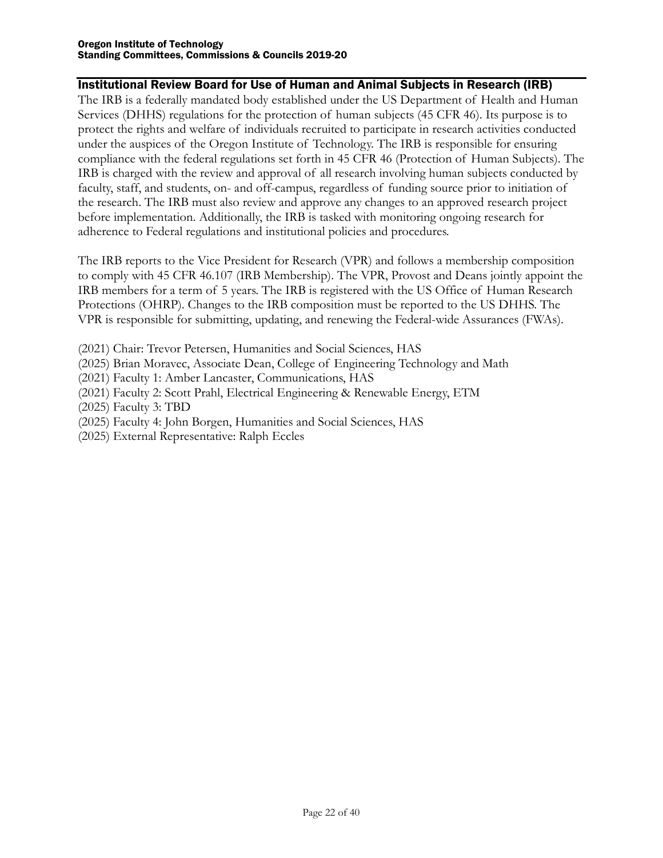#### <span id="page-21-0"></span>Institutional Review Board for Use of Human and Animal Subjects in Research (IRB)

The IRB is a federally mandated body established under the US Department of Health and Human Services (DHHS) regulations for the protection of human subjects (45 CFR 46). Its purpose is to protect the rights and welfare of individuals recruited to participate in research activities conducted under the auspices of the Oregon Institute of Technology. The IRB is responsible for ensuring compliance with the federal regulations set forth in 45 CFR 46 (Protection of Human Subjects). The IRB is charged with the review and approval of all research involving human subjects conducted by faculty, staff, and students, on- and off-campus, regardless of funding source prior to initiation of the research. The IRB must also review and approve any changes to an approved research project before implementation. Additionally, the IRB is tasked with monitoring ongoing research for adherence to Federal regulations and institutional policies and procedures.

The IRB reports to the Vice President for Research (VPR) and follows a membership composition to comply with 45 CFR 46.107 (IRB Membership). The VPR, Provost and Deans jointly appoint the IRB members for a term of 5 years. The IRB is registered with the US Office of Human Research Protections (OHRP). Changes to the IRB composition must be reported to the US DHHS. The VPR is responsible for submitting, updating, and renewing the Federal-wide Assurances (FWAs).

- (2021) Chair: Trevor Petersen, Humanities and Social Sciences, HAS
- (2025) Brian Moravec, Associate Dean, College of Engineering Technology and Math
- (2021) Faculty 1: Amber Lancaster, Communications, HAS
- (2021) Faculty 2: Scott Prahl, Electrical Engineering & Renewable Energy, ETM
- (2025) Faculty 3: TBD
- (2025) Faculty 4: John Borgen, Humanities and Social Sciences, HAS
- (2025) External Representative: Ralph Eccles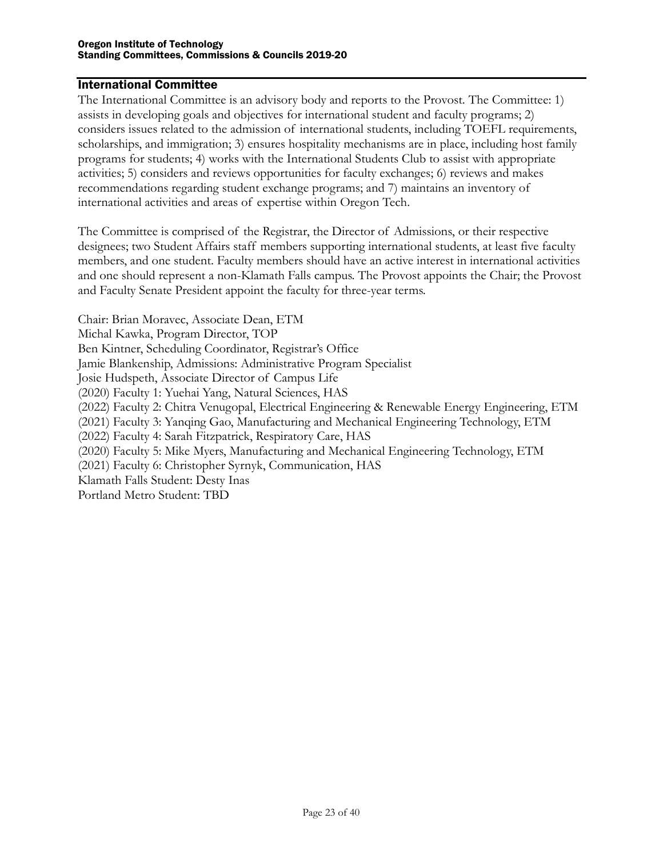#### <span id="page-22-0"></span>International Committee

The International Committee is an advisory body and reports to the Provost. The Committee: 1) assists in developing goals and objectives for international student and faculty programs; 2) considers issues related to the admission of international students, including TOEFL requirements, scholarships, and immigration; 3) ensures hospitality mechanisms are in place, including host family programs for students; 4) works with the International Students Club to assist with appropriate activities; 5) considers and reviews opportunities for faculty exchanges; 6) reviews and makes recommendations regarding student exchange programs; and 7) maintains an inventory of international activities and areas of expertise within Oregon Tech.

The Committee is comprised of the Registrar, the Director of Admissions, or their respective designees; two Student Affairs staff members supporting international students, at least five faculty members, and one student. Faculty members should have an active interest in international activities and one should represent a non-Klamath Falls campus. The Provost appoints the Chair; the Provost and Faculty Senate President appoint the faculty for three-year terms.

Chair: Brian Moravec, Associate Dean, ETM Michal Kawka, Program Director, TOP Ben Kintner, Scheduling Coordinator, Registrar's Office Jamie Blankenship, Admissions: Administrative Program Specialist Josie Hudspeth, Associate Director of Campus Life (2020) Faculty 1: Yuehai Yang, Natural Sciences, HAS (2022) Faculty 2: Chitra Venugopal, Electrical Engineering & Renewable Energy Engineering, ETM (2021) Faculty 3: Yanqing Gao, Manufacturing and Mechanical Engineering Technology, ETM (2022) Faculty 4: Sarah Fitzpatrick, Respiratory Care, HAS (2020) Faculty 5: Mike Myers, Manufacturing and Mechanical Engineering Technology, ETM (2021) Faculty 6: Christopher Syrnyk, Communication, HAS Klamath Falls Student: Desty Inas Portland Metro Student: TBD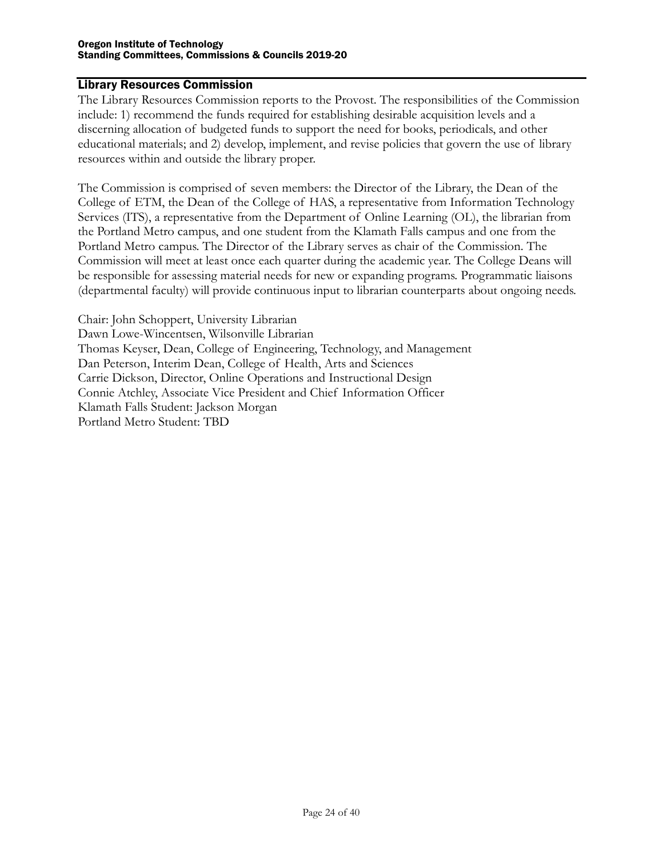#### <span id="page-23-0"></span>Library Resources Commission

The Library Resources Commission reports to the Provost. The responsibilities of the Commission include: 1) recommend the funds required for establishing desirable acquisition levels and a discerning allocation of budgeted funds to support the need for books, periodicals, and other educational materials; and 2) develop, implement, and revise policies that govern the use of library resources within and outside the library proper.

The Commission is comprised of seven members: the Director of the Library, the Dean of the College of ETM, the Dean of the College of HAS, a representative from Information Technology Services (ITS), a representative from the Department of Online Learning (OL), the librarian from the Portland Metro campus, and one student from the Klamath Falls campus and one from the Portland Metro campus. The Director of the Library serves as chair of the Commission. The Commission will meet at least once each quarter during the academic year. The College Deans will be responsible for assessing material needs for new or expanding programs. Programmatic liaisons (departmental faculty) will provide continuous input to librarian counterparts about ongoing needs.

Chair: John Schoppert, University Librarian Dawn Lowe-Wincentsen, Wilsonville Librarian Thomas Keyser, Dean, College of Engineering, Technology, and Management Dan Peterson, Interim Dean, College of Health, Arts and Sciences Carrie Dickson, Director, Online Operations and Instructional Design Connie Atchley, Associate Vice President and Chief Information Officer Klamath Falls Student: Jackson Morgan Portland Metro Student: TBD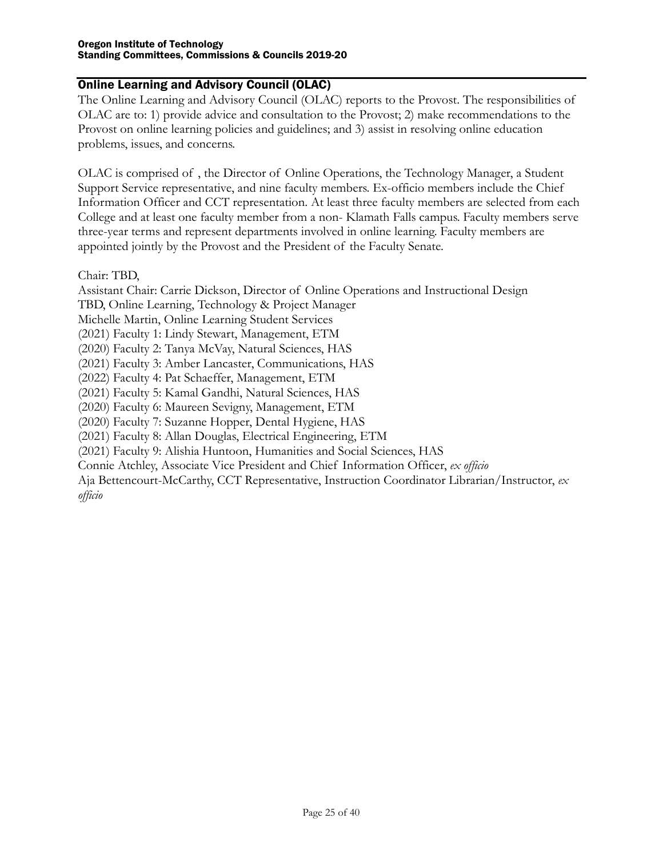## <span id="page-24-0"></span>Online Learning and Advisory Council (OLAC)

The Online Learning and Advisory Council (OLAC) reports to the Provost. The responsibilities of OLAC are to: 1) provide advice and consultation to the Provost; 2) make recommendations to the Provost on online learning policies and guidelines; and 3) assist in resolving online education problems, issues, and concerns.

OLAC is comprised of , the Director of Online Operations, the Technology Manager, a Student Support Service representative, and nine faculty members. Ex-officio members include the Chief Information Officer and CCT representation. At least three faculty members are selected from each College and at least one faculty member from a non- Klamath Falls campus. Faculty members serve three-year terms and represent departments involved in online learning. Faculty members are appointed jointly by the Provost and the President of the Faculty Senate.

Chair: TBD,

Assistant Chair: Carrie Dickson, Director of Online Operations and Instructional Design

TBD, Online Learning, Technology & Project Manager

Michelle Martin, Online Learning Student Services

(2021) Faculty 1: Lindy Stewart, Management, ETM

(2020) Faculty 2: Tanya McVay, Natural Sciences, HAS

(2021) Faculty 3: Amber Lancaster, Communications, HAS

(2022) Faculty 4: Pat Schaeffer, Management, ETM

(2021) Faculty 5: Kamal Gandhi, Natural Sciences, HAS

(2020) Faculty 6: Maureen Sevigny, Management, ETM

(2020) Faculty 7: Suzanne Hopper, Dental Hygiene, HAS

(2021) Faculty 8: Allan Douglas, Electrical Engineering, ETM

(2021) Faculty 9: Alishia Huntoon, Humanities and Social Sciences, HAS

Connie Atchley, Associate Vice President and Chief Information Officer, *ex officio*

Aja Bettencourt-McCarthy, CCT Representative, Instruction Coordinator Librarian/Instructor, *ex officio*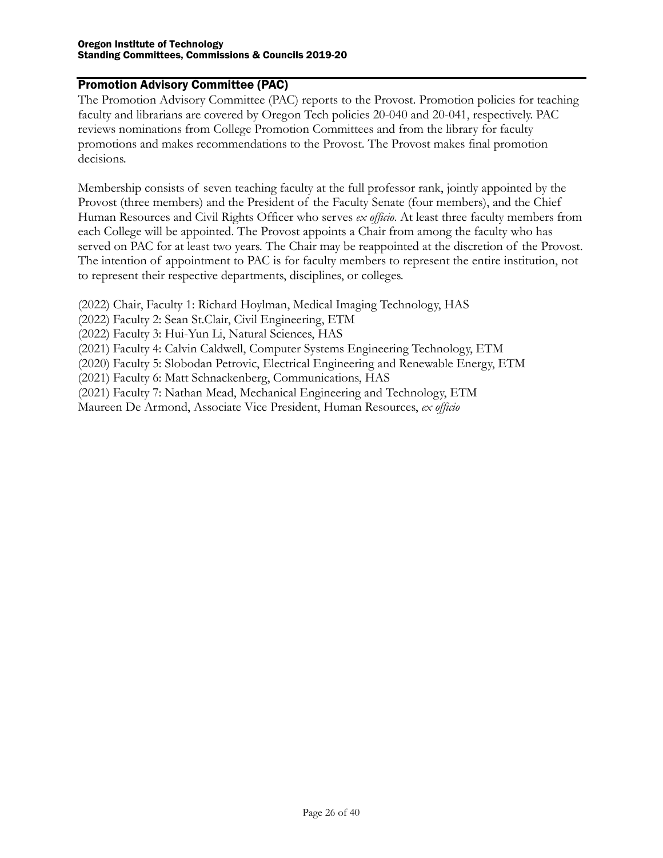## <span id="page-25-0"></span>Promotion Advisory Committee (PAC)

The Promotion Advisory Committee (PAC) reports to the Provost. Promotion policies for teaching faculty and librarians are covered by Oregon Tech policies 20-040 and 20-041, respectively. PAC reviews nominations from College Promotion Committees and from the library for faculty promotions and makes recommendations to the Provost. The Provost makes final promotion decisions.

Membership consists of seven teaching faculty at the full professor rank, jointly appointed by the Provost (three members) and the President of the Faculty Senate (four members), and the Chief Human Resources and Civil Rights Officer who serves *ex officio*. At least three faculty members from each College will be appointed. The Provost appoints a Chair from among the faculty who has served on PAC for at least two years. The Chair may be reappointed at the discretion of the Provost. The intention of appointment to PAC is for faculty members to represent the entire institution, not to represent their respective departments, disciplines, or colleges.

(2022) Chair, Faculty 1: Richard Hoylman, Medical Imaging Technology, HAS

(2022) Faculty 2: Sean St.Clair, Civil Engineering, ETM

(2022) Faculty 3: Hui-Yun Li, Natural Sciences, HAS

(2021) Faculty 4: Calvin Caldwell, Computer Systems Engineering Technology, ETM

(2020) Faculty 5: Slobodan Petrovic, Electrical Engineering and Renewable Energy, ETM

(2021) Faculty 6: Matt Schnackenberg, Communications, HAS

(2021) Faculty 7: Nathan Mead, Mechanical Engineering and Technology, ETM

Maureen De Armond, Associate Vice President, Human Resources, *ex officio*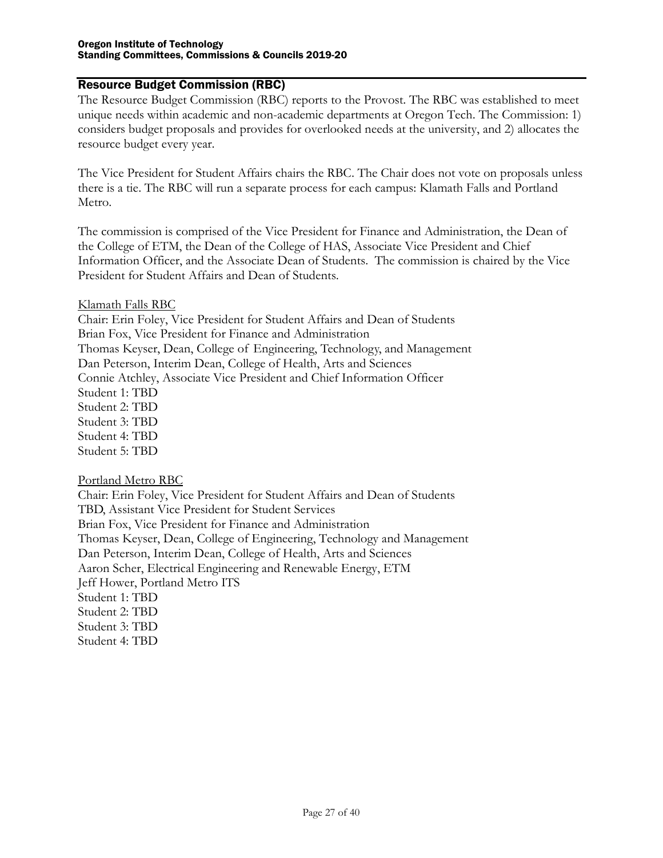#### <span id="page-26-0"></span>Resource Budget Commission (RBC)

The Resource Budget Commission (RBC) reports to the Provost. The RBC was established to meet unique needs within academic and non-academic departments at Oregon Tech. The Commission: 1) considers budget proposals and provides for overlooked needs at the university, and 2) allocates the resource budget every year.

The Vice President for Student Affairs chairs the RBC. The Chair does not vote on proposals unless there is a tie. The RBC will run a separate process for each campus: Klamath Falls and Portland Metro.

The commission is comprised of the Vice President for Finance and Administration, the Dean of the College of ETM, the Dean of the College of HAS, Associate Vice President and Chief Information Officer, and the Associate Dean of Students. The commission is chaired by the Vice President for Student Affairs and Dean of Students.

#### Klamath Falls RBC

Chair: Erin Foley, Vice President for Student Affairs and Dean of Students Brian Fox, Vice President for Finance and Administration Thomas Keyser, Dean, College of Engineering, Technology, and Management Dan Peterson, Interim Dean, College of Health, Arts and Sciences Connie Atchley, Associate Vice President and Chief Information Officer Student 1: TBD Student 2: TBD Student 3: TBD Student 4: TBD Student 5: TBD

#### Portland Metro RBC

Chair: Erin Foley, Vice President for Student Affairs and Dean of Students TBD, Assistant Vice President for Student Services Brian Fox, Vice President for Finance and Administration Thomas Keyser, Dean, College of Engineering, Technology and Management Dan Peterson, Interim Dean, College of Health, Arts and Sciences Aaron Scher, Electrical Engineering and Renewable Energy, ETM Jeff Hower, Portland Metro ITS Student 1: TBD Student 2: TBD Student 3: TBD Student 4: TBD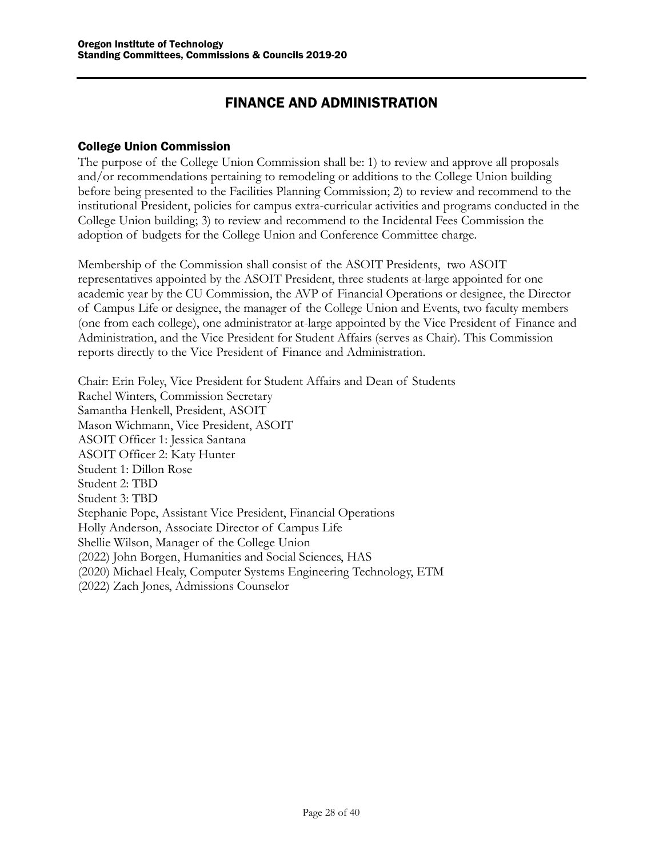## FINANCE AND ADMINISTRATION

#### <span id="page-27-1"></span><span id="page-27-0"></span>College Union Commission

The purpose of the College Union Commission shall be: 1) to review and approve all proposals and/or recommendations pertaining to remodeling or additions to the College Union building before being presented to the Facilities Planning Commission; 2) to review and recommend to the institutional President, policies for campus extra-curricular activities and programs conducted in the College Union building; 3) to review and recommend to the Incidental Fees Commission the adoption of budgets for the College Union and Conference Committee charge.

Membership of the Commission shall consist of the ASOIT Presidents, two ASOIT representatives appointed by the ASOIT President, three students at-large appointed for one academic year by the CU Commission, the AVP of Financial Operations or designee, the Director of Campus Life or designee, the manager of the College Union and Events, two faculty members (one from each college), one administrator at-large appointed by the Vice President of Finance and Administration, and the Vice President for Student Affairs (serves as Chair). This Commission reports directly to the Vice President of Finance and Administration.

Chair: Erin Foley, Vice President for Student Affairs and Dean of Students Rachel Winters, Commission Secretary Samantha Henkell, President, ASOIT Mason Wichmann, Vice President, ASOIT ASOIT Officer 1: Jessica Santana ASOIT Officer 2: Katy Hunter Student 1: Dillon Rose Student 2: TBD Student 3: TBD Stephanie Pope, Assistant Vice President, Financial Operations Holly Anderson, Associate Director of Campus Life Shellie Wilson, Manager of the College Union (2022) John Borgen, Humanities and Social Sciences, HAS (2020) Michael Healy, Computer Systems Engineering Technology, ETM (2022) Zach Jones, Admissions Counselor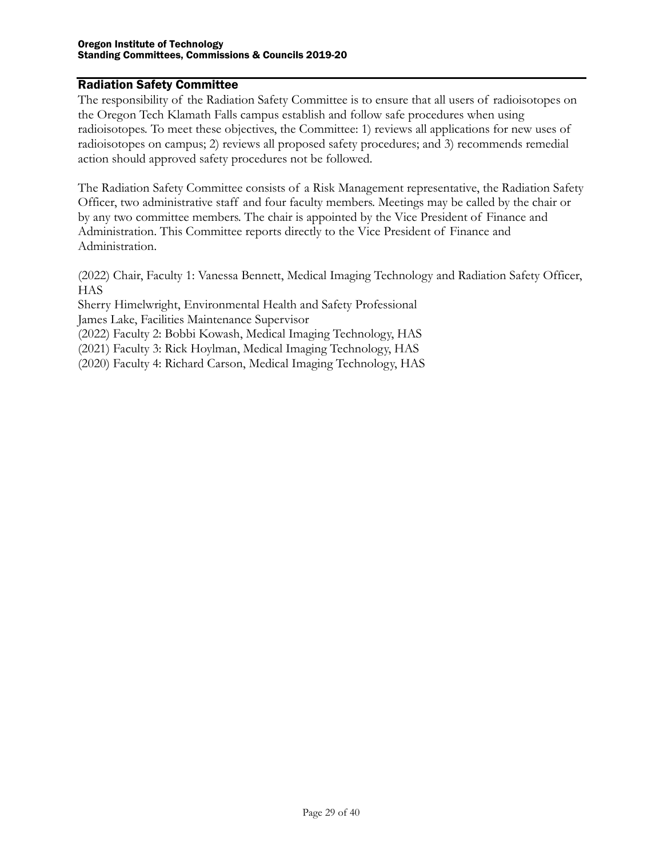#### <span id="page-28-0"></span>Radiation Safety Committee

The responsibility of the Radiation Safety Committee is to ensure that all users of radioisotopes on the Oregon Tech Klamath Falls campus establish and follow safe procedures when using radioisotopes. To meet these objectives, the Committee: 1) reviews all applications for new uses of radioisotopes on campus; 2) reviews all proposed safety procedures; and 3) recommends remedial action should approved safety procedures not be followed.

The Radiation Safety Committee consists of a Risk Management representative, the Radiation Safety Officer, two administrative staff and four faculty members. Meetings may be called by the chair or by any two committee members. The chair is appointed by the Vice President of Finance and Administration. This Committee reports directly to the Vice President of Finance and Administration.

(2022) Chair, Faculty 1: Vanessa Bennett, Medical Imaging Technology and Radiation Safety Officer, **HAS** 

Sherry Himelwright, Environmental Health and Safety Professional

James Lake, Facilities Maintenance Supervisor

(2022) Faculty 2: Bobbi Kowash, Medical Imaging Technology, HAS

(2021) Faculty 3: Rick Hoylman, Medical Imaging Technology, HAS

(2020) Faculty 4: Richard Carson, Medical Imaging Technology, HAS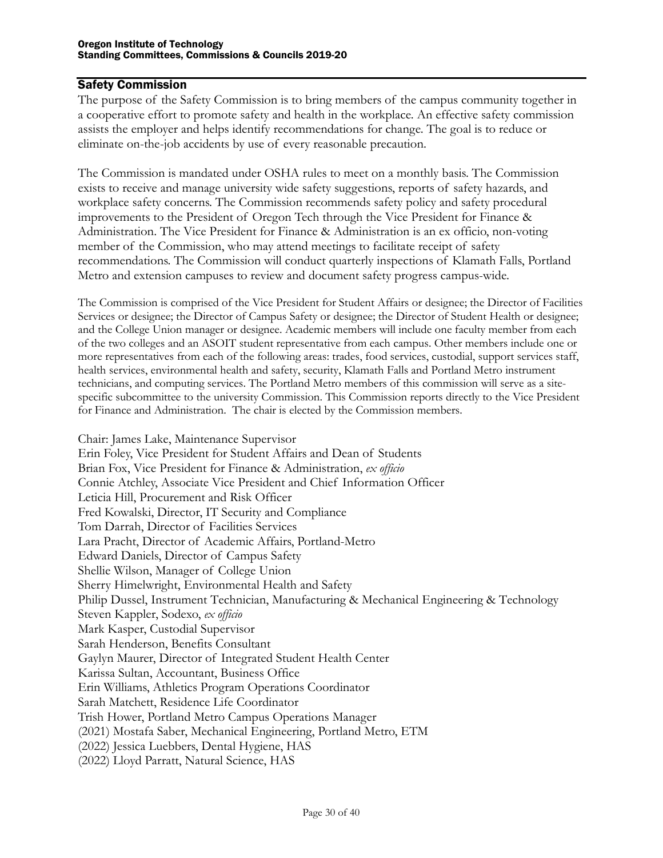#### <span id="page-29-0"></span>Safety Commission

The purpose of the Safety Commission is to bring members of the campus community together in a cooperative effort to promote safety and health in the workplace. An effective safety commission assists the employer and helps identify recommendations for change. The goal is to reduce or eliminate on-the-job accidents by use of every reasonable precaution.

The Commission is mandated under OSHA rules to meet on a monthly basis. The Commission exists to receive and manage university wide safety suggestions, reports of safety hazards, and workplace safety concerns. The Commission recommends safety policy and safety procedural improvements to the President of Oregon Tech through the Vice President for Finance & Administration. The Vice President for Finance & Administration is an ex officio, non-voting member of the Commission, who may attend meetings to facilitate receipt of safety recommendations. The Commission will conduct quarterly inspections of Klamath Falls, Portland Metro and extension campuses to review and document safety progress campus-wide.

The Commission is comprised of the Vice President for Student Affairs or designee; the Director of Facilities Services or designee; the Director of Campus Safety or designee; the Director of Student Health or designee; and the College Union manager or designee. Academic members will include one faculty member from each of the two colleges and an ASOIT student representative from each campus. Other members include one or more representatives from each of the following areas: trades, food services, custodial, support services staff, health services, environmental health and safety, security, Klamath Falls and Portland Metro instrument technicians, and computing services. The Portland Metro members of this commission will serve as a sitespecific subcommittee to the university Commission. This Commission reports directly to the Vice President for Finance and Administration. The chair is elected by the Commission members.

Chair: James Lake, Maintenance Supervisor Erin Foley, Vice President for Student Affairs and Dean of Students Brian Fox, Vice President for Finance & Administration, *ex officio* Connie Atchley, Associate Vice President and Chief Information Officer Leticia Hill, Procurement and Risk Officer Fred Kowalski, Director, IT Security and Compliance Tom Darrah, Director of Facilities Services Lara Pracht, Director of Academic Affairs, Portland-Metro Edward Daniels, Director of Campus Safety Shellie Wilson, Manager of College Union Sherry Himelwright, Environmental Health and Safety Philip Dussel, Instrument Technician, Manufacturing & Mechanical Engineering & Technology Steven Kappler, Sodexo, *ex officio* Mark Kasper, Custodial Supervisor Sarah Henderson, Benefits Consultant Gaylyn Maurer, Director of Integrated Student Health Center Karissa Sultan, Accountant, Business Office Erin Williams, Athletics Program Operations Coordinator Sarah Matchett, Residence Life Coordinator Trish Hower, Portland Metro Campus Operations Manager (2021) Mostafa Saber, Mechanical Engineering, Portland Metro, ETM (2022) Jessica Luebbers, Dental Hygiene, HAS (2022) Lloyd Parratt, Natural Science, HAS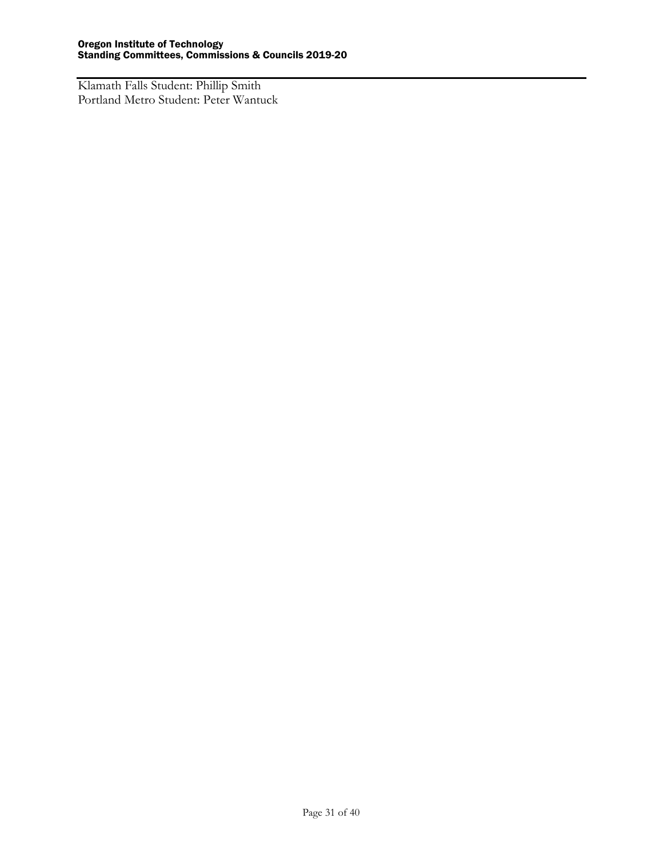<span id="page-30-0"></span>Klamath Falls Student: Phillip Smith Portland Metro Student: Peter Wantuck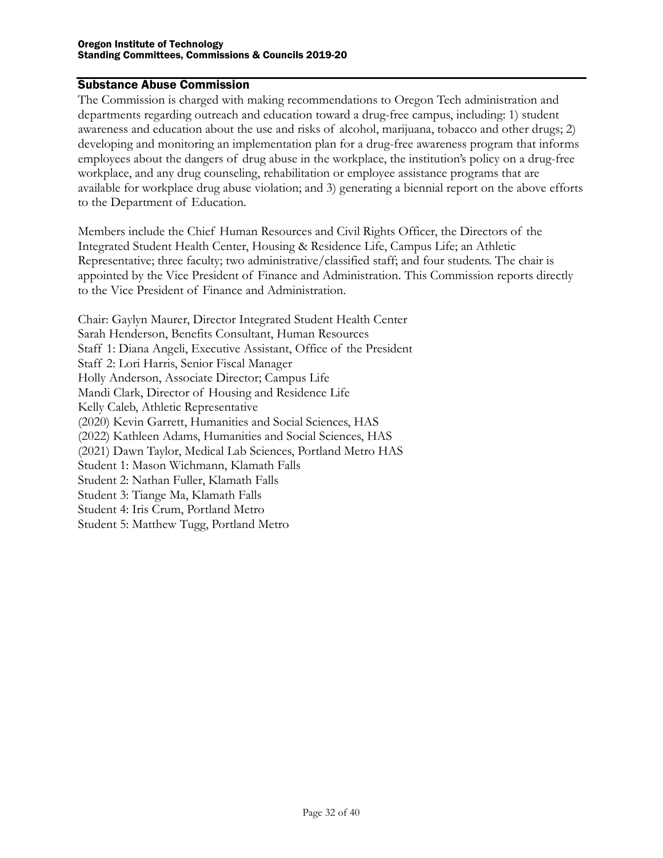#### Substance Abuse Commission

The Commission is charged with making recommendations to Oregon Tech administration and departments regarding outreach and education toward a drug-free campus, including: 1) student awareness and education about the use and risks of alcohol, marijuana, tobacco and other drugs; 2) developing and monitoring an implementation plan for a drug-free awareness program that informs employees about the dangers of drug abuse in the workplace, the institution's policy on a drug-free workplace, and any drug counseling, rehabilitation or employee assistance programs that are available for workplace drug abuse violation; and 3) generating a biennial report on the above efforts to the Department of Education.

Members include the Chief Human Resources and Civil Rights Officer, the Directors of the Integrated Student Health Center, Housing & Residence Life, Campus Life; an Athletic Representative; three faculty; two administrative/classified staff; and four students. The chair is appointed by the Vice President of Finance and Administration. This Commission reports directly to the Vice President of Finance and Administration.

Chair: Gaylyn Maurer, Director Integrated Student Health Center Sarah Henderson, Benefits Consultant, Human Resources Staff 1: Diana Angeli, Executive Assistant, Office of the President Staff 2: Lori Harris, Senior Fiscal Manager Holly Anderson, Associate Director; Campus Life Mandi Clark, Director of Housing and Residence Life Kelly Caleb, Athletic Representative (2020) Kevin Garrett, Humanities and Social Sciences, HAS (2022) Kathleen Adams, Humanities and Social Sciences, HAS (2021) Dawn Taylor, Medical Lab Sciences, Portland Metro HAS Student 1: Mason Wichmann, Klamath Falls Student 2: Nathan Fuller, Klamath Falls Student 3: Tiange Ma, Klamath Falls Student 4: Iris Crum, Portland Metro Student 5: Matthew Tugg, Portland Metro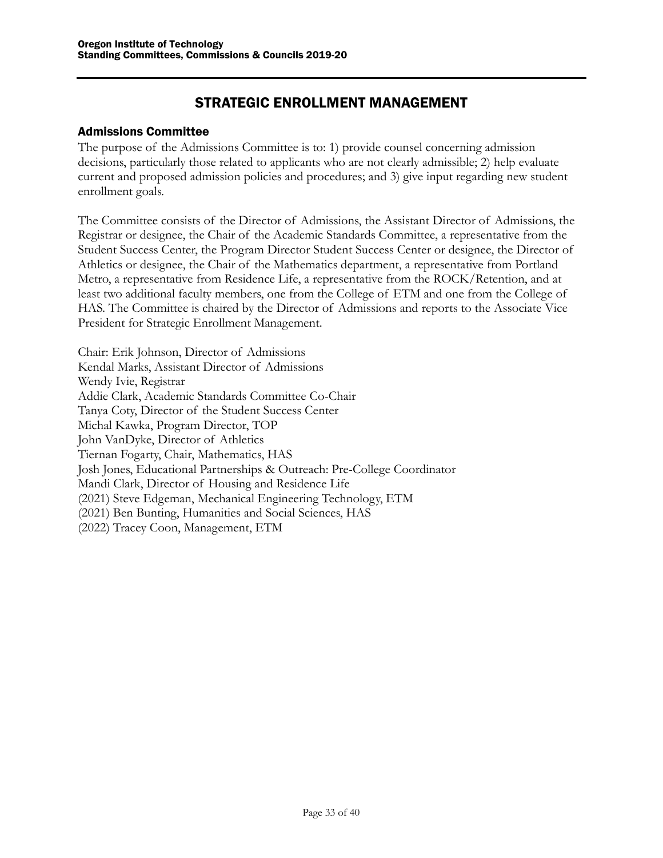## STRATEGIC ENROLLMENT MANAGEMENT

#### <span id="page-32-1"></span><span id="page-32-0"></span>Admissions Committee

The purpose of the Admissions Committee is to: 1) provide counsel concerning admission decisions, particularly those related to applicants who are not clearly admissible; 2) help evaluate current and proposed admission policies and procedures; and 3) give input regarding new student enrollment goals.

The Committee consists of the Director of Admissions, the Assistant Director of Admissions, the Registrar or designee, the Chair of the Academic Standards Committee, a representative from the Student Success Center, the Program Director Student Success Center or designee, the Director of Athletics or designee, the Chair of the Mathematics department, a representative from Portland Metro, a representative from Residence Life, a representative from the ROCK/Retention, and at least two additional faculty members, one from the College of ETM and one from the College of HAS. The Committee is chaired by the Director of Admissions and reports to the Associate Vice President for Strategic Enrollment Management.

Chair: Erik Johnson, Director of Admissions Kendal Marks, Assistant Director of Admissions Wendy Ivie, Registrar Addie Clark, Academic Standards Committee Co-Chair Tanya Coty, Director of the Student Success Center Michal Kawka, Program Director, TOP John VanDyke, Director of Athletics Tiernan Fogarty, Chair, Mathematics, HAS Josh Jones, Educational Partnerships & Outreach: Pre-College Coordinator Mandi Clark, Director of Housing and Residence Life (2021) Steve Edgeman, Mechanical Engineering Technology, ETM (2021) Ben Bunting, Humanities and Social Sciences, HAS (2022) Tracey Coon, Management, ETM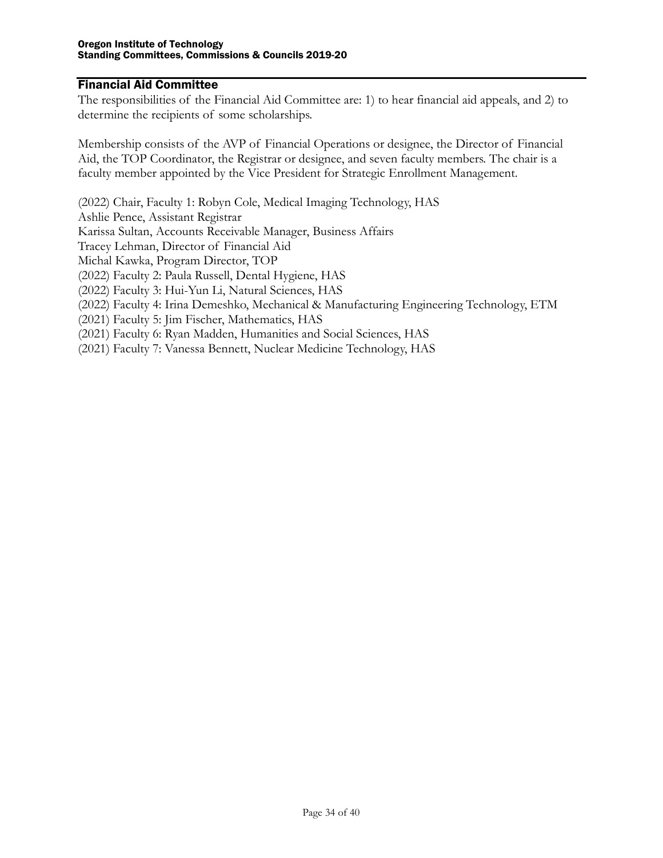#### <span id="page-33-0"></span>Financial Aid Committee

The responsibilities of the Financial Aid Committee are: 1) to hear financial aid appeals, and 2) to determine the recipients of some scholarships.

Membership consists of the AVP of Financial Operations or designee, the Director of Financial Aid, the TOP Coordinator, the Registrar or designee, and seven faculty members. The chair is a faculty member appointed by the Vice President for Strategic Enrollment Management.

(2022) Chair, Faculty 1: Robyn Cole, Medical Imaging Technology, HAS

Ashlie Pence, Assistant Registrar

Karissa Sultan, Accounts Receivable Manager, Business Affairs

Tracey Lehman, Director of Financial Aid

Michal Kawka, Program Director, TOP

(2022) Faculty 2: Paula Russell, Dental Hygiene, HAS

(2022) Faculty 3: Hui-Yun Li, Natural Sciences, HAS

(2022) Faculty 4: Irina Demeshko, Mechanical & Manufacturing Engineering Technology, ETM

(2021) Faculty 5: Jim Fischer, Mathematics, HAS

(2021) Faculty 6: Ryan Madden, Humanities and Social Sciences, HAS

(2021) Faculty 7: Vanessa Bennett, Nuclear Medicine Technology, HAS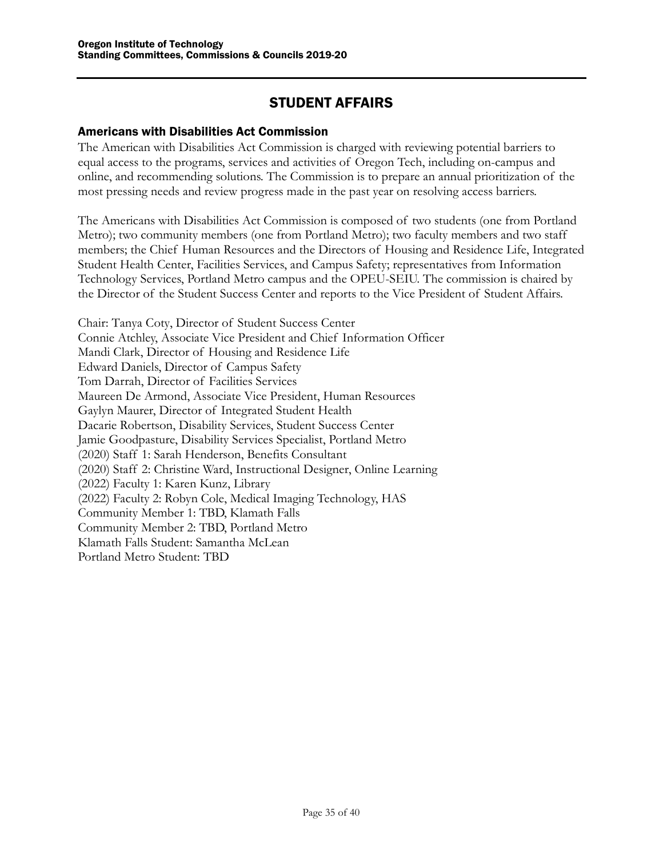## STUDENT AFFAIRS

#### <span id="page-34-1"></span><span id="page-34-0"></span>Americans with Disabilities Act Commission

The American with Disabilities Act Commission is charged with reviewing potential barriers to equal access to the programs, services and activities of Oregon Tech, including on-campus and online, and recommending solutions. The Commission is to prepare an annual prioritization of the most pressing needs and review progress made in the past year on resolving access barriers.

The Americans with Disabilities Act Commission is composed of two students (one from Portland Metro); two community members (one from Portland Metro); two faculty members and two staff members; the Chief Human Resources and the Directors of Housing and Residence Life, Integrated Student Health Center, Facilities Services, and Campus Safety; representatives from Information Technology Services, Portland Metro campus and the OPEU-SEIU. The commission is chaired by the Director of the Student Success Center and reports to the Vice President of Student Affairs.

Chair: Tanya Coty, Director of Student Success Center Connie Atchley, Associate Vice President and Chief Information Officer Mandi Clark, Director of Housing and Residence Life Edward Daniels, Director of Campus Safety Tom Darrah, Director of Facilities Services Maureen De Armond, Associate Vice President, Human Resources Gaylyn Maurer, Director of Integrated Student Health Dacarie Robertson, Disability Services, Student Success Center Jamie Goodpasture, Disability Services Specialist, Portland Metro (2020) Staff 1: Sarah Henderson, Benefits Consultant (2020) Staff 2: Christine Ward, Instructional Designer, Online Learning (2022) Faculty 1: Karen Kunz, Library (2022) Faculty 2: Robyn Cole, Medical Imaging Technology, HAS Community Member 1: TBD, Klamath Falls Community Member 2: TBD, Portland Metro Klamath Falls Student: Samantha McLean Portland Metro Student: TBD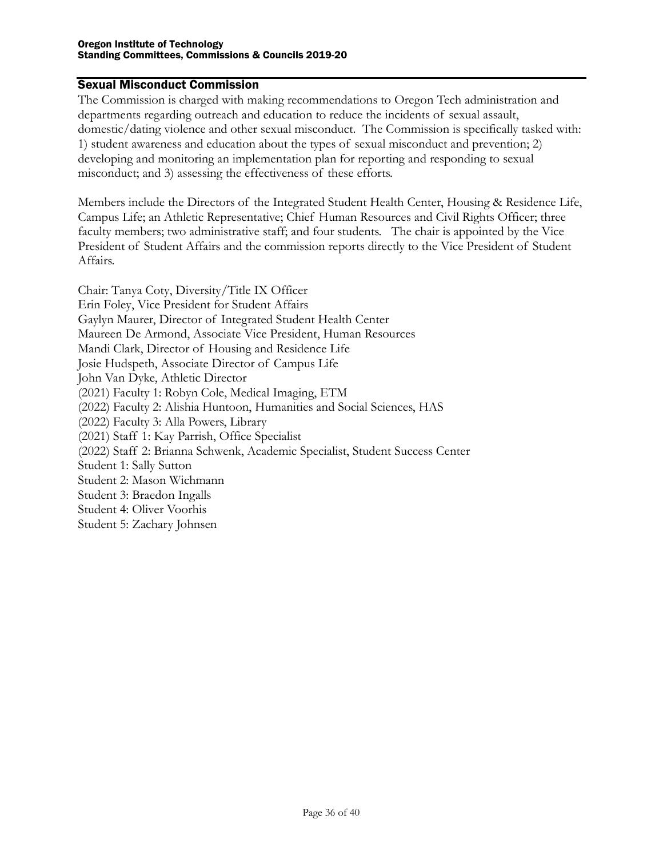## <span id="page-35-0"></span>Sexual Misconduct Commission

The Commission is charged with making recommendations to Oregon Tech administration and departments regarding outreach and education to reduce the incidents of sexual assault, domestic/dating violence and other sexual misconduct. The Commission is specifically tasked with: 1) student awareness and education about the types of sexual misconduct and prevention; 2) developing and monitoring an implementation plan for reporting and responding to sexual misconduct; and 3) assessing the effectiveness of these efforts.

Members include the Directors of the Integrated Student Health Center, Housing & Residence Life, Campus Life; an Athletic Representative; Chief Human Resources and Civil Rights Officer; three faculty members; two administrative staff; and four students. The chair is appointed by the Vice President of Student Affairs and the commission reports directly to the Vice President of Student Affairs.

Chair: Tanya Coty, Diversity/Title IX Officer Erin Foley, Vice President for Student Affairs Gaylyn Maurer, Director of Integrated Student Health Center Maureen De Armond, Associate Vice President, Human Resources Mandi Clark, Director of Housing and Residence Life Josie Hudspeth, Associate Director of Campus Life John Van Dyke, Athletic Director (2021) Faculty 1: Robyn Cole, Medical Imaging, ETM (2022) Faculty 2: Alishia Huntoon, Humanities and Social Sciences, HAS (2022) Faculty 3: Alla Powers, Library (2021) Staff 1: Kay Parrish, Office Specialist (2022) Staff 2: Brianna Schwenk, Academic Specialist, Student Success Center Student 1: Sally Sutton Student 2: Mason Wichmann Student 3: Braedon Ingalls Student 4: Oliver Voorhis Student 5: Zachary Johnsen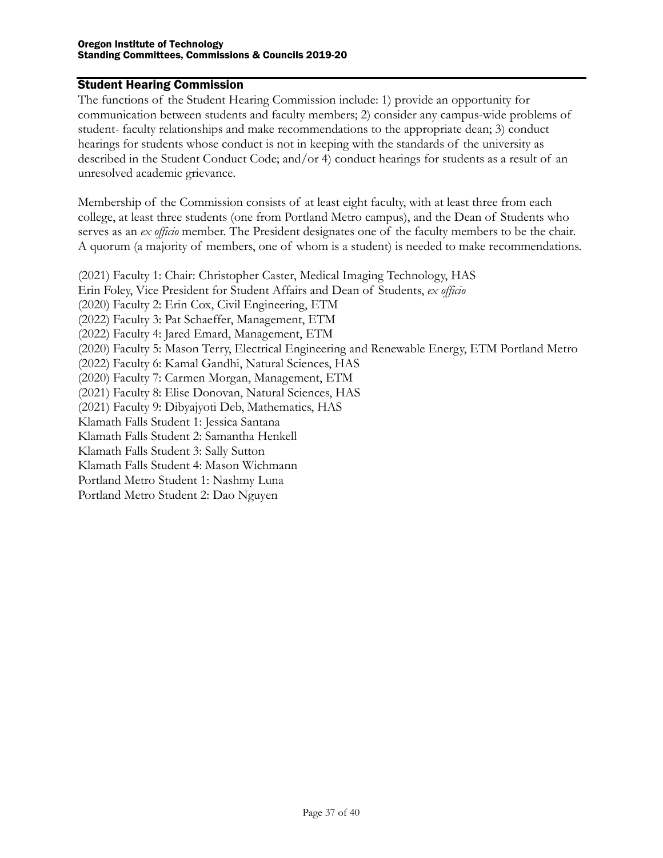#### <span id="page-36-0"></span>Student Hearing Commission

The functions of the Student Hearing Commission include: 1) provide an opportunity for communication between students and faculty members; 2) consider any campus-wide problems of student- faculty relationships and make recommendations to the appropriate dean; 3) conduct hearings for students whose conduct is not in keeping with the standards of the university as described in the Student Conduct Code; and/or 4) conduct hearings for students as a result of an unresolved academic grievance.

Membership of the Commission consists of at least eight faculty, with at least three from each college, at least three students (one from Portland Metro campus), and the Dean of Students who serves as an *ex officio* member. The President designates one of the faculty members to be the chair. A quorum (a majority of members, one of whom is a student) is needed to make recommendations.

(2021) Faculty 1: Chair: Christopher Caster, Medical Imaging Technology, HAS Erin Foley, Vice President for Student Affairs and Dean of Students, *ex officio* (2020) Faculty 2: Erin Cox, Civil Engineering, ETM (2022) Faculty 3: Pat Schaeffer, Management, ETM (2022) Faculty 4: Jared Emard, Management, ETM (2020) Faculty 5: Mason Terry, Electrical Engineering and Renewable Energy, ETM Portland Metro (2022) Faculty 6: Kamal Gandhi, Natural Sciences, HAS (2020) Faculty 7: Carmen Morgan, Management, ETM (2021) Faculty 8: Elise Donovan, Natural Sciences, HAS (2021) Faculty 9: Dibyajyoti Deb, Mathematics, HAS Klamath Falls Student 1: Jessica Santana Klamath Falls Student 2: Samantha Henkell Klamath Falls Student 3: Sally Sutton Klamath Falls Student 4: Mason Wichmann Portland Metro Student 1: Nashmy Luna Portland Metro Student 2: Dao Nguyen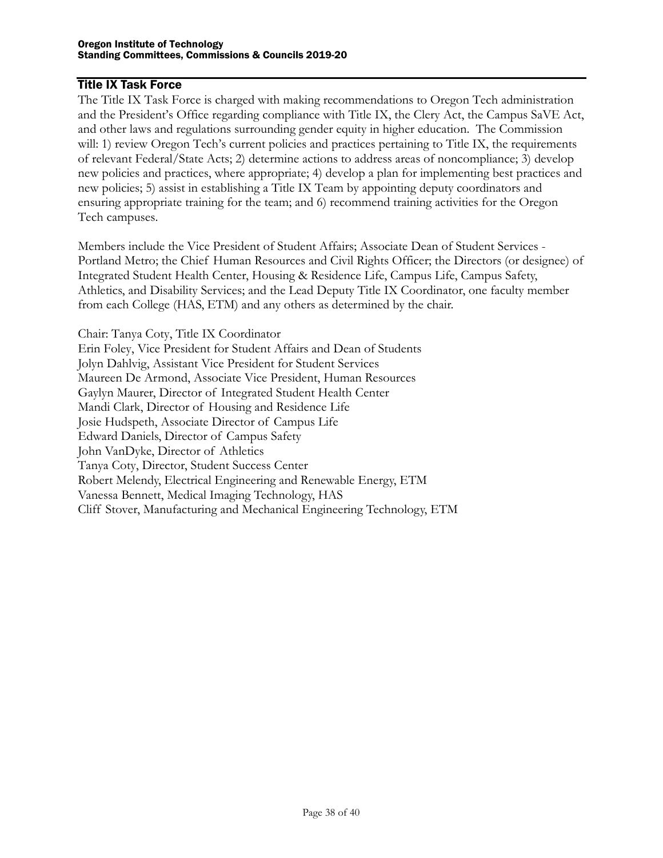#### <span id="page-37-0"></span>Title IX Task Force

The Title IX Task Force is charged with making recommendations to Oregon Tech administration and the President's Office regarding compliance with Title IX, the Clery Act, the Campus SaVE Act, and other laws and regulations surrounding gender equity in higher education. The Commission will: 1) review Oregon Tech's current policies and practices pertaining to Title IX, the requirements of relevant Federal/State Acts; 2) determine actions to address areas of noncompliance; 3) develop new policies and practices, where appropriate; 4) develop a plan for implementing best practices and new policies; 5) assist in establishing a Title IX Team by appointing deputy coordinators and ensuring appropriate training for the team; and 6) recommend training activities for the Oregon Tech campuses.

Members include the Vice President of Student Affairs; Associate Dean of Student Services - Portland Metro; the Chief Human Resources and Civil Rights Officer; the Directors (or designee) of Integrated Student Health Center, Housing & Residence Life, Campus Life, Campus Safety, Athletics, and Disability Services; and the Lead Deputy Title IX Coordinator, one faculty member from each College (HAS, ETM) and any others as determined by the chair.

Chair: Tanya Coty, Title IX Coordinator Erin Foley, Vice President for Student Affairs and Dean of Students Jolyn Dahlvig, Assistant Vice President for Student Services Maureen De Armond, Associate Vice President, Human Resources Gaylyn Maurer, Director of Integrated Student Health Center Mandi Clark, Director of Housing and Residence Life Josie Hudspeth, Associate Director of Campus Life Edward Daniels, Director of Campus Safety John VanDyke, Director of Athletics Tanya Coty, Director, Student Success Center Robert Melendy, Electrical Engineering and Renewable Energy, ETM Vanessa Bennett, Medical Imaging Technology, HAS Cliff Stover, Manufacturing and Mechanical Engineering Technology, ETM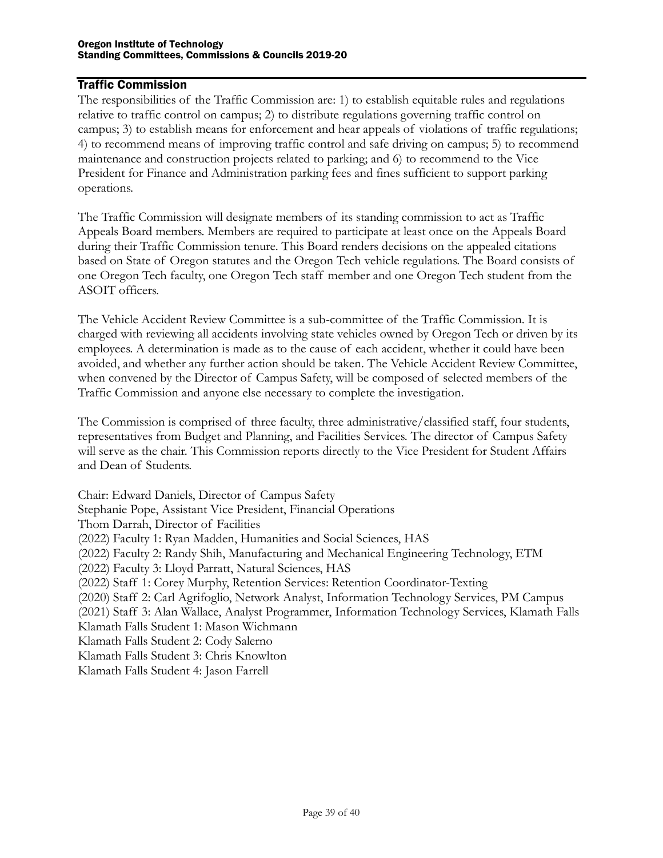#### <span id="page-38-0"></span>Traffic Commission

The responsibilities of the Traffic Commission are: 1) to establish equitable rules and regulations relative to traffic control on campus; 2) to distribute regulations governing traffic control on campus; 3) to establish means for enforcement and hear appeals of violations of traffic regulations; 4) to recommend means of improving traffic control and safe driving on campus; 5) to recommend maintenance and construction projects related to parking; and 6) to recommend to the Vice President for Finance and Administration parking fees and fines sufficient to support parking operations.

The Traffic Commission will designate members of its standing commission to act as Traffic Appeals Board members. Members are required to participate at least once on the Appeals Board during their Traffic Commission tenure. This Board renders decisions on the appealed citations based on State of Oregon statutes and the Oregon Tech vehicle regulations. The Board consists of one Oregon Tech faculty, one Oregon Tech staff member and one Oregon Tech student from the ASOIT officers.

The Vehicle Accident Review Committee is a sub-committee of the Traffic Commission. It is charged with reviewing all accidents involving state vehicles owned by Oregon Tech or driven by its employees. A determination is made as to the cause of each accident, whether it could have been avoided, and whether any further action should be taken. The Vehicle Accident Review Committee, when convened by the Director of Campus Safety, will be composed of selected members of the Traffic Commission and anyone else necessary to complete the investigation.

The Commission is comprised of three faculty, three administrative/classified staff, four students, representatives from Budget and Planning, and Facilities Services. The director of Campus Safety will serve as the chair. This Commission reports directly to the Vice President for Student Affairs and Dean of Students.

Chair: Edward Daniels, Director of Campus Safety Stephanie Pope, Assistant Vice President, Financial Operations Thom Darrah, Director of Facilities (2022) Faculty 1: Ryan Madden, Humanities and Social Sciences, HAS (2022) Faculty 2: Randy Shih, Manufacturing and Mechanical Engineering Technology, ETM (2022) Faculty 3: Lloyd Parratt, Natural Sciences, HAS (2022) Staff 1: Corey Murphy, Retention Services: Retention Coordinator-Texting (2020) Staff 2: Carl Agrifoglio, Network Analyst, Information Technology Services, PM Campus (2021) Staff 3: Alan Wallace, Analyst Programmer, Information Technology Services, Klamath Falls Klamath Falls Student 1: Mason Wichmann Klamath Falls Student 2: Cody Salerno Klamath Falls Student 3: Chris Knowlton Klamath Falls Student 4: Jason Farrell